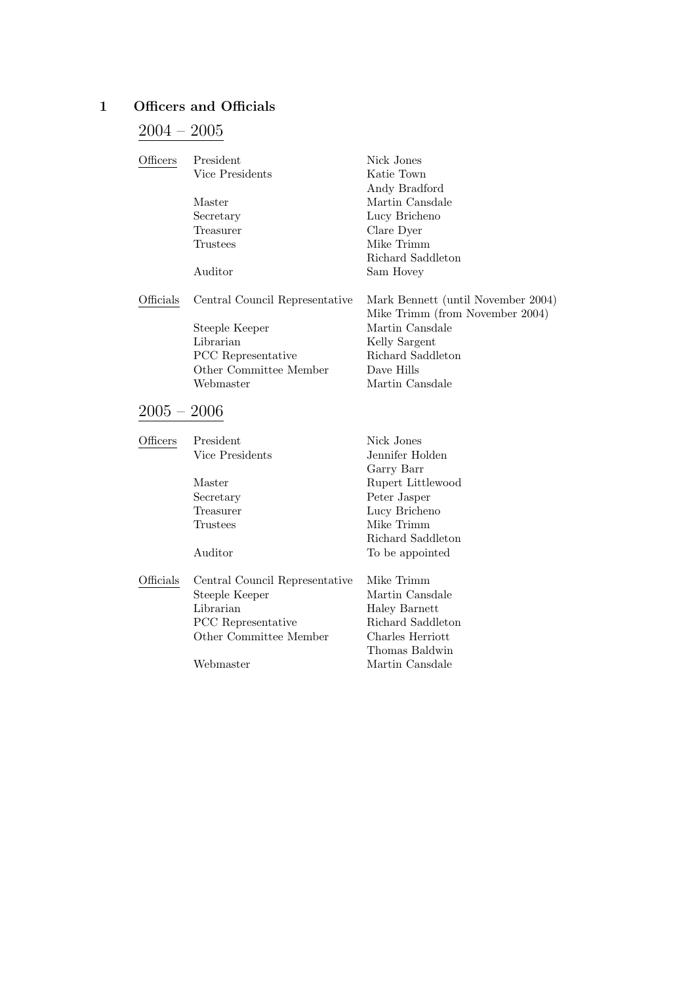# 1 Officers and Officials

# $2004 - 2005$

| Officers      | President                      | Nick Jones                                                            |
|---------------|--------------------------------|-----------------------------------------------------------------------|
|               | Vice Presidents                | Katie Town                                                            |
|               |                                | Andy Bradford                                                         |
|               | Master                         | Martin Cansdale                                                       |
|               | Secretary                      | Lucy Bricheno                                                         |
|               | Treasurer                      | Clare Dyer                                                            |
|               | Trustees                       | Mike Trimm                                                            |
|               |                                | Richard Saddleton                                                     |
|               | Auditor                        | Sam Hovey                                                             |
| Officials     | Central Council Representative | Mark Bennett (until November 2004)<br>Mike Trimm (from November 2004) |
|               | Steeple Keeper                 | Martin Cansdale                                                       |
|               | Librarian                      | Kelly Sargent                                                         |
|               | <b>PCC</b> Representative      | Richard Saddleton                                                     |
|               | Other Committee Member         | Dave Hills                                                            |
|               | Webmaster                      | Martin Cansdale                                                       |
| $2005 - 2006$ |                                |                                                                       |
| Officers      | President                      | Nick Jones                                                            |
|               | Vice Presidents                | Jennifer Holden                                                       |

Garry Barr

|           | Master                         | Rupert Littlewood |
|-----------|--------------------------------|-------------------|
|           | Secretary                      | Peter Jasper      |
|           | Treasurer                      | Lucy Bricheno     |
|           | Trustees                       | Mike Trimm        |
|           |                                | Richard Saddleton |
|           | Auditor                        | To be appointed   |
| Officials | Central Council Representative | Mike Trimm        |
|           | Steeple Keeper                 | Martin Cansdale   |
|           | Librarian                      | Haley Barnett     |
|           | <b>PCC</b> Representative      | Richard Saddleton |
|           | Other Committee Member         | Charles Herriott  |
|           |                                | Thomas Baldwin    |
|           |                                |                   |

Webmaster Martin Cansdale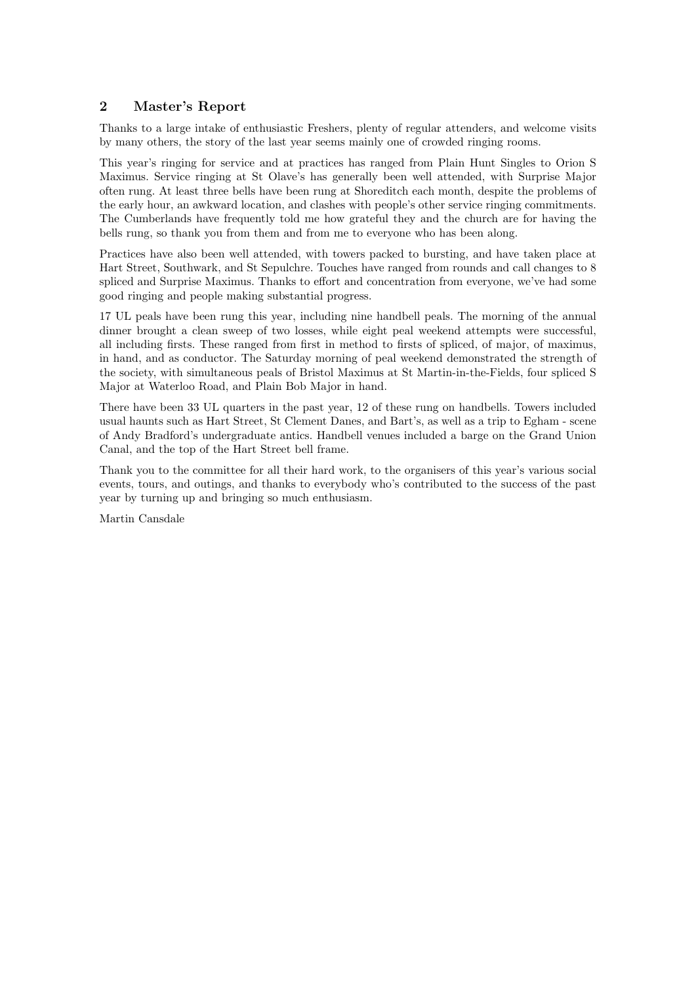# 2 Master's Report

Thanks to a large intake of enthusiastic Freshers, plenty of regular attenders, and welcome visits by many others, the story of the last year seems mainly one of crowded ringing rooms.

This year's ringing for service and at practices has ranged from Plain Hunt Singles to Orion S Maximus. Service ringing at St Olave's has generally been well attended, with Surprise Major often rung. At least three bells have been rung at Shoreditch each month, despite the problems of the early hour, an awkward location, and clashes with people's other service ringing commitments. The Cumberlands have frequently told me how grateful they and the church are for having the bells rung, so thank you from them and from me to everyone who has been along.

Practices have also been well attended, with towers packed to bursting, and have taken place at Hart Street, Southwark, and St Sepulchre. Touches have ranged from rounds and call changes to 8 spliced and Surprise Maximus. Thanks to effort and concentration from everyone, we've had some good ringing and people making substantial progress.

17 UL peals have been rung this year, including nine handbell peals. The morning of the annual dinner brought a clean sweep of two losses, while eight peal weekend attempts were successful, all including firsts. These ranged from first in method to firsts of spliced, of major, of maximus, in hand, and as conductor. The Saturday morning of peal weekend demonstrated the strength of the society, with simultaneous peals of Bristol Maximus at St Martin-in-the-Fields, four spliced S Major at Waterloo Road, and Plain Bob Major in hand.

There have been 33 UL quarters in the past year, 12 of these rung on handbells. Towers included usual haunts such as Hart Street, St Clement Danes, and Bart's, as well as a trip to Egham - scene of Andy Bradford's undergraduate antics. Handbell venues included a barge on the Grand Union Canal, and the top of the Hart Street bell frame.

Thank you to the committee for all their hard work, to the organisers of this year's various social events, tours, and outings, and thanks to everybody who's contributed to the success of the past year by turning up and bringing so much enthusiasm.

Martin Cansdale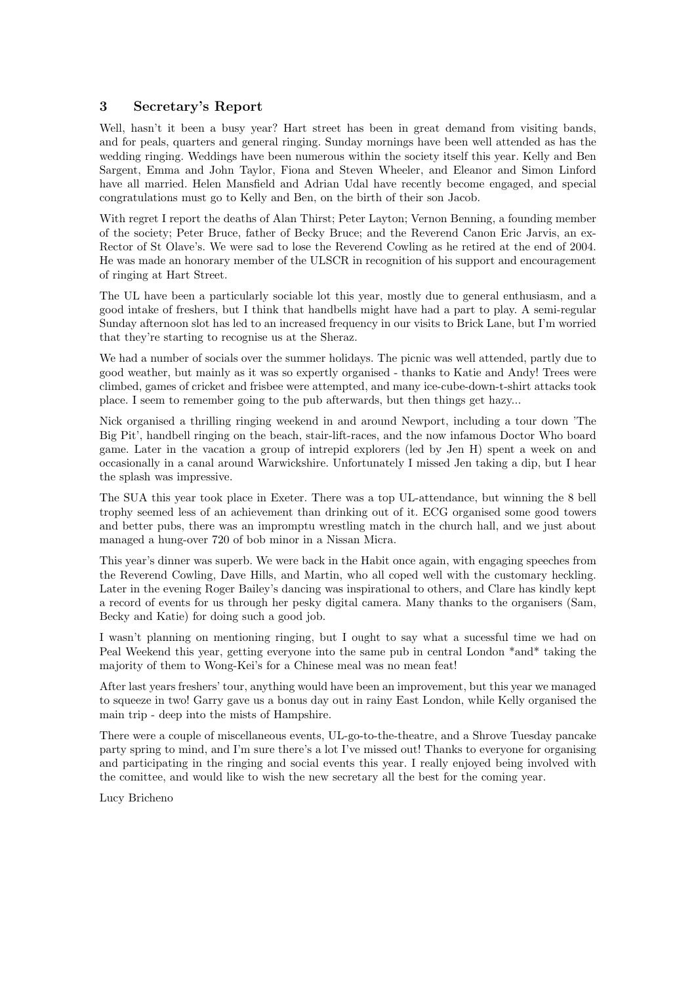# 3 Secretary's Report

Well, hasn't it been a busy year? Hart street has been in great demand from visiting bands, and for peals, quarters and general ringing. Sunday mornings have been well attended as has the wedding ringing. Weddings have been numerous within the society itself this year. Kelly and Ben Sargent, Emma and John Taylor, Fiona and Steven Wheeler, and Eleanor and Simon Linford have all married. Helen Mansfield and Adrian Udal have recently become engaged, and special congratulations must go to Kelly and Ben, on the birth of their son Jacob.

With regret I report the deaths of Alan Thirst; Peter Layton; Vernon Benning, a founding member of the society; Peter Bruce, father of Becky Bruce; and the Reverend Canon Eric Jarvis, an ex-Rector of St Olave's. We were sad to lose the Reverend Cowling as he retired at the end of 2004. He was made an honorary member of the ULSCR in recognition of his support and encouragement of ringing at Hart Street.

The UL have been a particularly sociable lot this year, mostly due to general enthusiasm, and a good intake of freshers, but I think that handbells might have had a part to play. A semi-regular Sunday afternoon slot has led to an increased frequency in our visits to Brick Lane, but I'm worried that they're starting to recognise us at the Sheraz.

We had a number of socials over the summer holidays. The picnic was well attended, partly due to good weather, but mainly as it was so expertly organised - thanks to Katie and Andy! Trees were climbed, games of cricket and frisbee were attempted, and many ice-cube-down-t-shirt attacks took place. I seem to remember going to the pub afterwards, but then things get hazy...

Nick organised a thrilling ringing weekend in and around Newport, including a tour down 'The Big Pit', handbell ringing on the beach, stair-lift-races, and the now infamous Doctor Who board game. Later in the vacation a group of intrepid explorers (led by Jen H) spent a week on and occasionally in a canal around Warwickshire. Unfortunately I missed Jen taking a dip, but I hear the splash was impressive.

The SUA this year took place in Exeter. There was a top UL-attendance, but winning the 8 bell trophy seemed less of an achievement than drinking out of it. ECG organised some good towers and better pubs, there was an impromptu wrestling match in the church hall, and we just about managed a hung-over 720 of bob minor in a Nissan Micra.

This year's dinner was superb. We were back in the Habit once again, with engaging speeches from the Reverend Cowling, Dave Hills, and Martin, who all coped well with the customary heckling. Later in the evening Roger Bailey's dancing was inspirational to others, and Clare has kindly kept a record of events for us through her pesky digital camera. Many thanks to the organisers (Sam, Becky and Katie) for doing such a good job.

I wasn't planning on mentioning ringing, but I ought to say what a sucessful time we had on Peal Weekend this year, getting everyone into the same pub in central London \*and\* taking the majority of them to Wong-Kei's for a Chinese meal was no mean feat!

After last years freshers' tour, anything would have been an improvement, but this year we managed to squeeze in two! Garry gave us a bonus day out in rainy East London, while Kelly organised the main trip - deep into the mists of Hampshire.

There were a couple of miscellaneous events, UL-go-to-the-theatre, and a Shrove Tuesday pancake party spring to mind, and I'm sure there's a lot I've missed out! Thanks to everyone for organising and participating in the ringing and social events this year. I really enjoyed being involved with the comittee, and would like to wish the new secretary all the best for the coming year.

Lucy Bricheno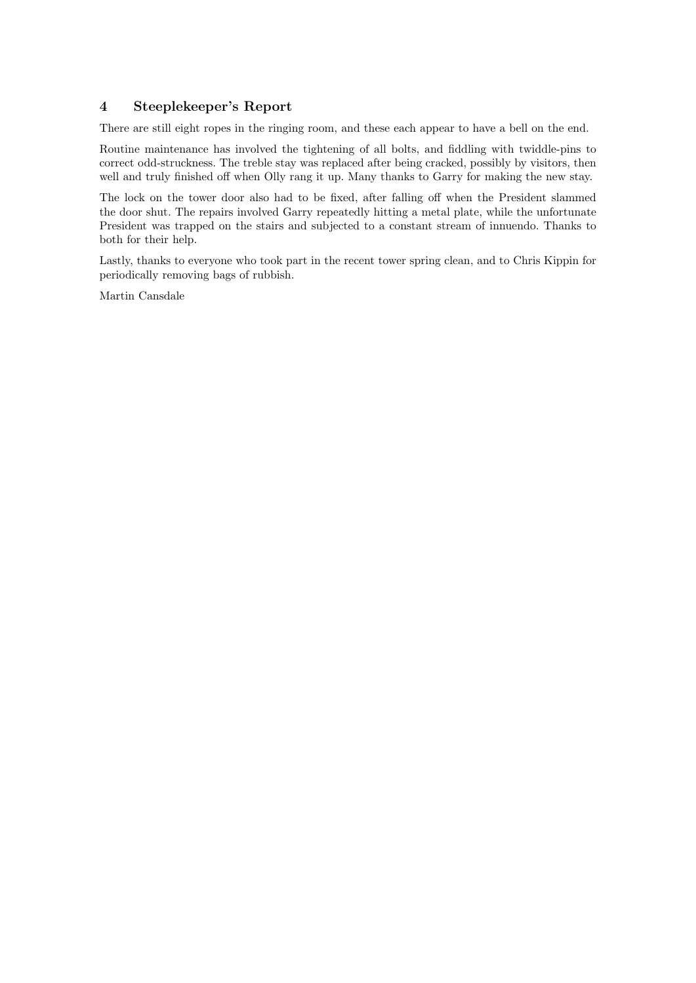### 4 Steeplekeeper's Report

There are still eight ropes in the ringing room, and these each appear to have a bell on the end.

Routine maintenance has involved the tightening of all bolts, and fiddling with twiddle-pins to correct odd-struckness. The treble stay was replaced after being cracked, possibly by visitors, then well and truly finished off when Olly rang it up. Many thanks to Garry for making the new stay.

The lock on the tower door also had to be fixed, after falling off when the President slammed the door shut. The repairs involved Garry repeatedly hitting a metal plate, while the unfortunate President was trapped on the stairs and subjected to a constant stream of innuendo. Thanks to both for their help.

Lastly, thanks to everyone who took part in the recent tower spring clean, and to Chris Kippin for periodically removing bags of rubbish.

Martin Cansdale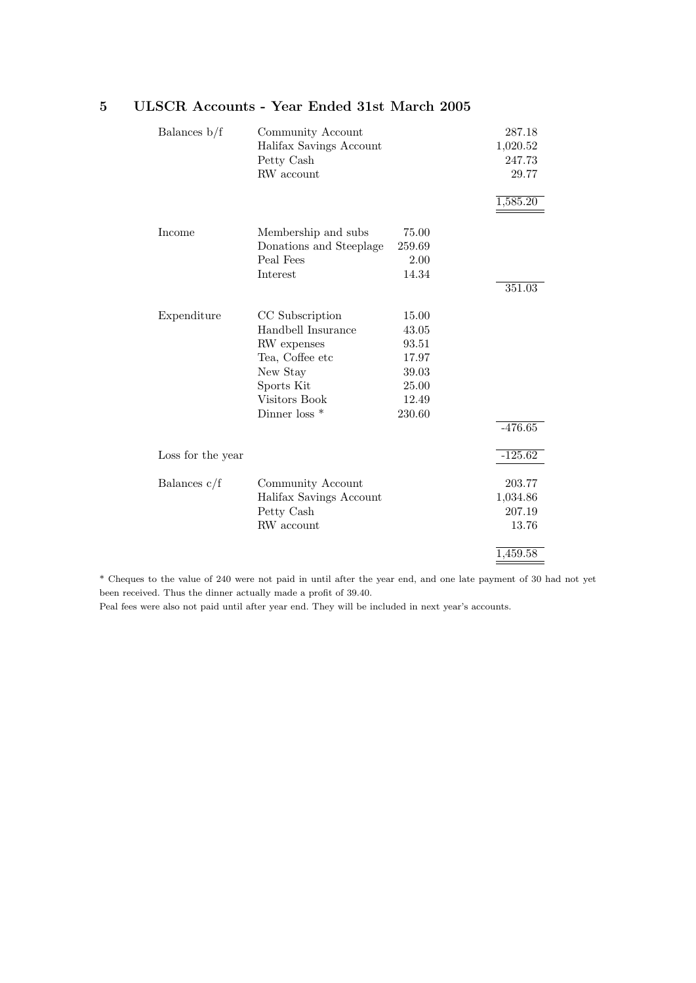| Balances $b/f$    | Community Account<br>Halifax Savings Account<br>Petty Cash<br>RW account                                                                       |                                                                       | 287.18<br>1,020.52<br>247.73<br>29.77<br>1,585.20 |
|-------------------|------------------------------------------------------------------------------------------------------------------------------------------------|-----------------------------------------------------------------------|---------------------------------------------------|
| Income            | Membership and subs<br>Donations and Steeplage<br>Peal Fees<br>Interest                                                                        | 75.00<br>259.69<br>2.00<br>14.34                                      | 351.03                                            |
| Expenditure       | CC Subscription<br>Handbell Insurance<br>RW expenses<br>Tea, Coffee etc<br>New Stay<br>Sports Kit<br>Visitors Book<br>Dinner loss <sup>*</sup> | 15.00<br>43.05<br>93.51<br>17.97<br>39.03<br>25.00<br>12.49<br>230.60 | $-476.65$                                         |
| Loss for the year |                                                                                                                                                |                                                                       | $-125.62$                                         |
| Balances $c/f$    | Community Account<br>Halifax Savings Account<br>Petty Cash<br>RW account                                                                       |                                                                       | 203.77<br>1,034.86<br>207.19<br>13.76<br>1,459.58 |

# 5 ULSCR Accounts - Year Ended 31st March 2005

\* Cheques to the value of 240 were not paid in until after the year end, and one late payment of 30 had not yet been received. Thus the dinner actually made a profit of 39.40.

Peal fees were also not paid until after year end. They will be included in next year's accounts.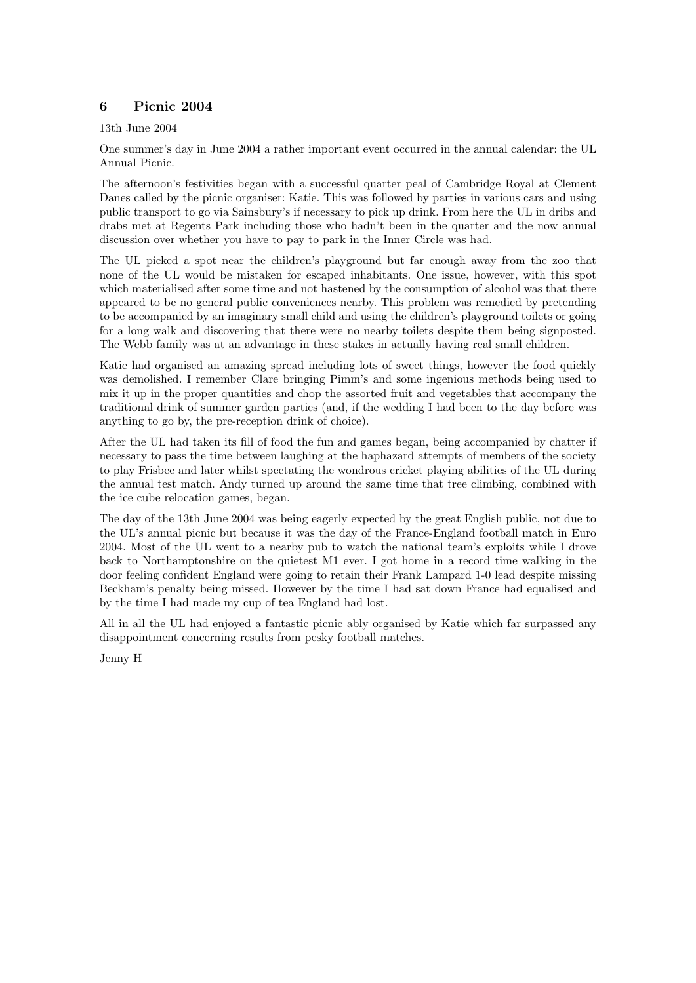# 6 Picnic 2004

13th June 2004

One summer's day in June 2004 a rather important event occurred in the annual calendar: the UL Annual Picnic.

The afternoon's festivities began with a successful quarter peal of Cambridge Royal at Clement Danes called by the picnic organiser: Katie. This was followed by parties in various cars and using public transport to go via Sainsbury's if necessary to pick up drink. From here the UL in dribs and drabs met at Regents Park including those who hadn't been in the quarter and the now annual discussion over whether you have to pay to park in the Inner Circle was had.

The UL picked a spot near the children's playground but far enough away from the zoo that none of the UL would be mistaken for escaped inhabitants. One issue, however, with this spot which materialised after some time and not hastened by the consumption of alcohol was that there appeared to be no general public conveniences nearby. This problem was remedied by pretending to be accompanied by an imaginary small child and using the children's playground toilets or going for a long walk and discovering that there were no nearby toilets despite them being signposted. The Webb family was at an advantage in these stakes in actually having real small children.

Katie had organised an amazing spread including lots of sweet things, however the food quickly was demolished. I remember Clare bringing Pimm's and some ingenious methods being used to mix it up in the proper quantities and chop the assorted fruit and vegetables that accompany the traditional drink of summer garden parties (and, if the wedding I had been to the day before was anything to go by, the pre-reception drink of choice).

After the UL had taken its fill of food the fun and games began, being accompanied by chatter if necessary to pass the time between laughing at the haphazard attempts of members of the society to play Frisbee and later whilst spectating the wondrous cricket playing abilities of the UL during the annual test match. Andy turned up around the same time that tree climbing, combined with the ice cube relocation games, began.

The day of the 13th June 2004 was being eagerly expected by the great English public, not due to the UL's annual picnic but because it was the day of the France-England football match in Euro 2004. Most of the UL went to a nearby pub to watch the national team's exploits while I drove back to Northamptonshire on the quietest M1 ever. I got home in a record time walking in the door feeling confident England were going to retain their Frank Lampard 1-0 lead despite missing Beckham's penalty being missed. However by the time I had sat down France had equalised and by the time I had made my cup of tea England had lost.

All in all the UL had enjoyed a fantastic picnic ably organised by Katie which far surpassed any disappointment concerning results from pesky football matches.

Jenny H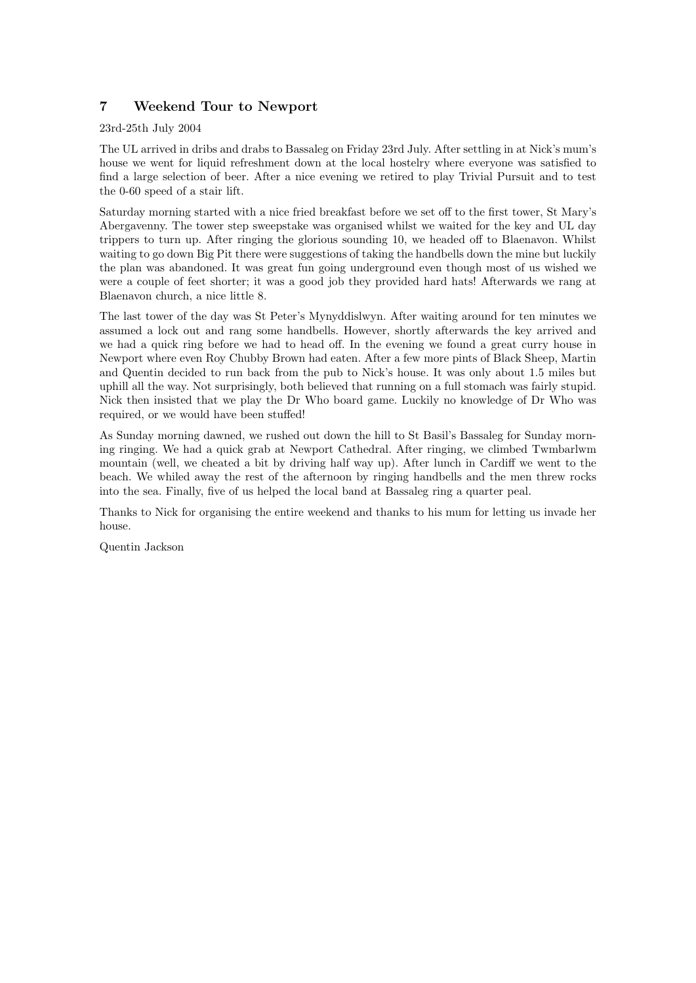# 7 Weekend Tour to Newport

23rd-25th July 2004

The UL arrived in dribs and drabs to Bassaleg on Friday 23rd July. After settling in at Nick's mum's house we went for liquid refreshment down at the local hostelry where everyone was satisfied to find a large selection of beer. After a nice evening we retired to play Trivial Pursuit and to test the 0-60 speed of a stair lift.

Saturday morning started with a nice fried breakfast before we set off to the first tower, St Mary's Abergavenny. The tower step sweepstake was organised whilst we waited for the key and UL day trippers to turn up. After ringing the glorious sounding 10, we headed off to Blaenavon. Whilst waiting to go down Big Pit there were suggestions of taking the handbells down the mine but luckily the plan was abandoned. It was great fun going underground even though most of us wished we were a couple of feet shorter; it was a good job they provided hard hats! Afterwards we rang at Blaenavon church, a nice little 8.

The last tower of the day was St Peter's Mynyddislwyn. After waiting around for ten minutes we assumed a lock out and rang some handbells. However, shortly afterwards the key arrived and we had a quick ring before we had to head off. In the evening we found a great curry house in Newport where even Roy Chubby Brown had eaten. After a few more pints of Black Sheep, Martin and Quentin decided to run back from the pub to Nick's house. It was only about 1.5 miles but uphill all the way. Not surprisingly, both believed that running on a full stomach was fairly stupid. Nick then insisted that we play the Dr Who board game. Luckily no knowledge of Dr Who was required, or we would have been stuffed!

As Sunday morning dawned, we rushed out down the hill to St Basil's Bassaleg for Sunday morning ringing. We had a quick grab at Newport Cathedral. After ringing, we climbed Twmbarlwm mountain (well, we cheated a bit by driving half way up). After lunch in Cardiff we went to the beach. We whiled away the rest of the afternoon by ringing handbells and the men threw rocks into the sea. Finally, five of us helped the local band at Bassaleg ring a quarter peal.

Thanks to Nick for organising the entire weekend and thanks to his mum for letting us invade her house.

Quentin Jackson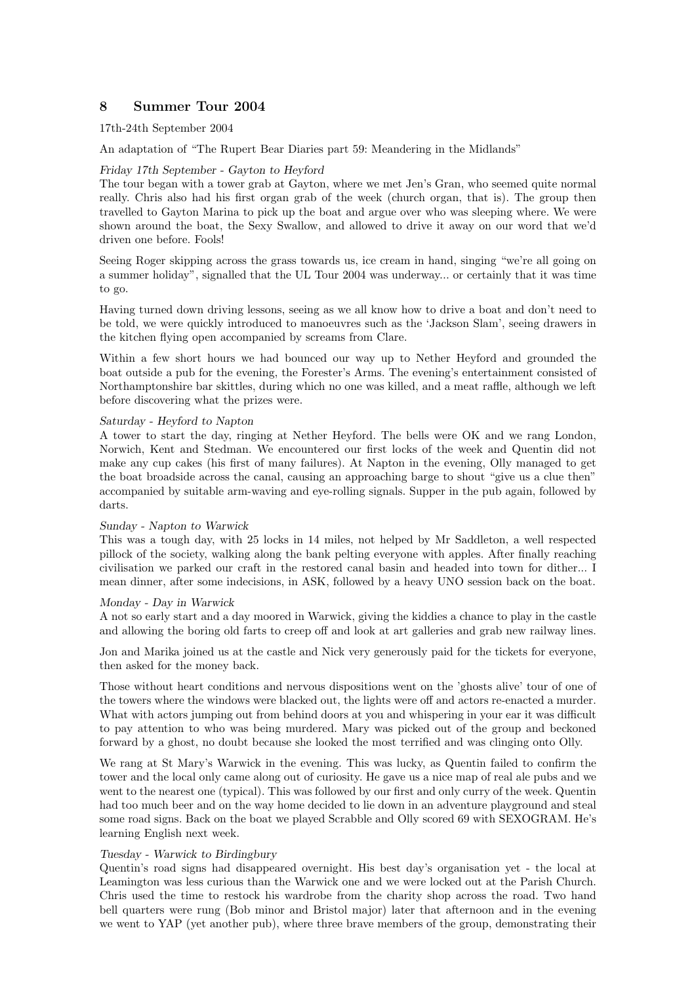# 8 Summer Tour 2004

#### 17th-24th September 2004

An adaptation of "The Rupert Bear Diaries part 59: Meandering in the Midlands"

#### Friday 17th September - Gayton to Heyford

The tour began with a tower grab at Gayton, where we met Jen's Gran, who seemed quite normal really. Chris also had his first organ grab of the week (church organ, that is). The group then travelled to Gayton Marina to pick up the boat and argue over who was sleeping where. We were shown around the boat, the Sexy Swallow, and allowed to drive it away on our word that we'd driven one before. Fools!

Seeing Roger skipping across the grass towards us, ice cream in hand, singing "we're all going on a summer holiday", signalled that the UL Tour 2004 was underway... or certainly that it was time to go.

Having turned down driving lessons, seeing as we all know how to drive a boat and don't need to be told, we were quickly introduced to manoeuvres such as the 'Jackson Slam', seeing drawers in the kitchen flying open accompanied by screams from Clare.

Within a few short hours we had bounced our way up to Nether Heyford and grounded the boat outside a pub for the evening, the Forester's Arms. The evening's entertainment consisted of Northamptonshire bar skittles, during which no one was killed, and a meat raffle, although we left before discovering what the prizes were.

#### Saturday - Heyford to Napton

A tower to start the day, ringing at Nether Heyford. The bells were OK and we rang London, Norwich, Kent and Stedman. We encountered our first locks of the week and Quentin did not make any cup cakes (his first of many failures). At Napton in the evening, Olly managed to get the boat broadside across the canal, causing an approaching barge to shout "give us a clue then" accompanied by suitable arm-waving and eye-rolling signals. Supper in the pub again, followed by darts.

#### Sunday - Napton to Warwick

This was a tough day, with 25 locks in 14 miles, not helped by Mr Saddleton, a well respected pillock of the society, walking along the bank pelting everyone with apples. After finally reaching civilisation we parked our craft in the restored canal basin and headed into town for dither... I mean dinner, after some indecisions, in ASK, followed by a heavy UNO session back on the boat.

#### Monday - Day in Warwick

A not so early start and a day moored in Warwick, giving the kiddies a chance to play in the castle and allowing the boring old farts to creep off and look at art galleries and grab new railway lines.

Jon and Marika joined us at the castle and Nick very generously paid for the tickets for everyone, then asked for the money back.

Those without heart conditions and nervous dispositions went on the 'ghosts alive' tour of one of the towers where the windows were blacked out, the lights were off and actors re-enacted a murder. What with actors jumping out from behind doors at you and whispering in your ear it was difficult to pay attention to who was being murdered. Mary was picked out of the group and beckoned forward by a ghost, no doubt because she looked the most terrified and was clinging onto Olly.

We rang at St Mary's Warwick in the evening. This was lucky, as Quentin failed to confirm the tower and the local only came along out of curiosity. He gave us a nice map of real ale pubs and we went to the nearest one (typical). This was followed by our first and only curry of the week. Quentin had too much beer and on the way home decided to lie down in an adventure playground and steal some road signs. Back on the boat we played Scrabble and Olly scored 69 with SEXOGRAM. He's learning English next week.

#### Tuesday - Warwick to Birdingbury

Quentin's road signs had disappeared overnight. His best day's organisation yet - the local at Leamington was less curious than the Warwick one and we were locked out at the Parish Church. Chris used the time to restock his wardrobe from the charity shop across the road. Two hand bell quarters were rung (Bob minor and Bristol major) later that afternoon and in the evening we went to YAP (yet another pub), where three brave members of the group, demonstrating their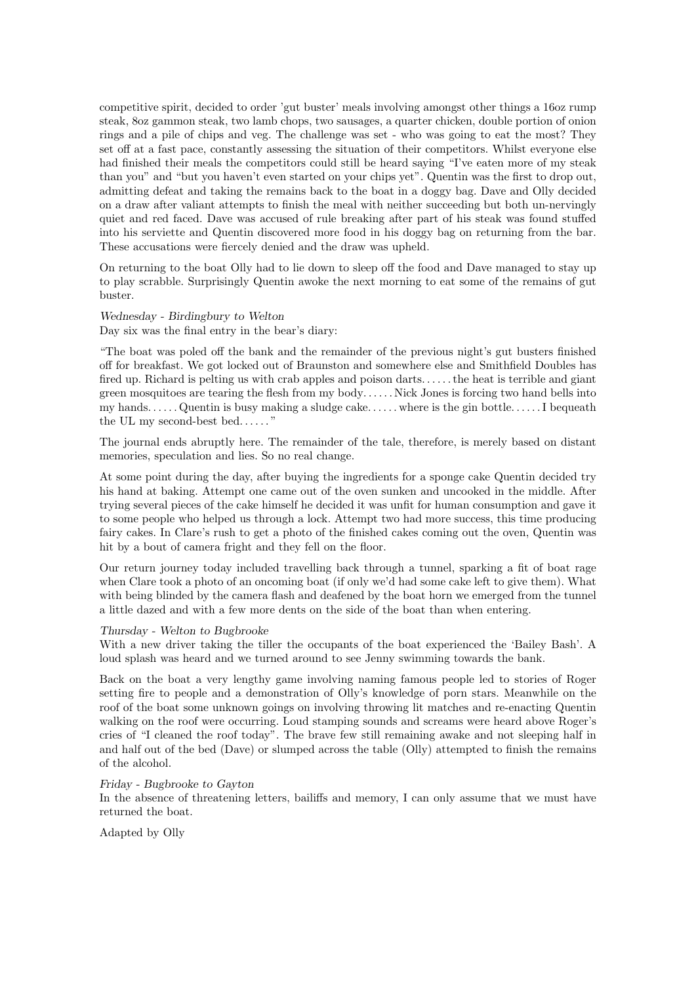competitive spirit, decided to order 'gut buster' meals involving amongst other things a 16oz rump steak, 8oz gammon steak, two lamb chops, two sausages, a quarter chicken, double portion of onion rings and a pile of chips and veg. The challenge was set - who was going to eat the most? They set off at a fast pace, constantly assessing the situation of their competitors. Whilst everyone else had finished their meals the competitors could still be heard saying "I've eaten more of my steak than you" and "but you haven't even started on your chips yet". Quentin was the first to drop out, admitting defeat and taking the remains back to the boat in a doggy bag. Dave and Olly decided on a draw after valiant attempts to finish the meal with neither succeeding but both un-nervingly quiet and red faced. Dave was accused of rule breaking after part of his steak was found stuffed into his serviette and Quentin discovered more food in his doggy bag on returning from the bar. These accusations were fiercely denied and the draw was upheld.

On returning to the boat Olly had to lie down to sleep off the food and Dave managed to stay up to play scrabble. Surprisingly Quentin awoke the next morning to eat some of the remains of gut buster.

#### Wednesday - Birdingbury to Welton

Day six was the final entry in the bear's diary:

"The boat was poled off the bank and the remainder of the previous night's gut busters finished off for breakfast. We got locked out of Braunston and somewhere else and Smithfield Doubles has fired up. Richard is pelting us with crab apples and poison darts. . . . . . the heat is terrible and giant green mosquitoes are tearing the flesh from my body. . . . . . Nick Jones is forcing two hand bells into my hands. . . . . . Quentin is busy making a sludge cake. . . . . . where is the gin bottle. . . . . . I bequeath the UL my second-best bed. . . . . . "

The journal ends abruptly here. The remainder of the tale, therefore, is merely based on distant memories, speculation and lies. So no real change.

At some point during the day, after buying the ingredients for a sponge cake Quentin decided try his hand at baking. Attempt one came out of the oven sunken and uncooked in the middle. After trying several pieces of the cake himself he decided it was unfit for human consumption and gave it to some people who helped us through a lock. Attempt two had more success, this time producing fairy cakes. In Clare's rush to get a photo of the finished cakes coming out the oven, Quentin was hit by a bout of camera fright and they fell on the floor.

Our return journey today included travelling back through a tunnel, sparking a fit of boat rage when Clare took a photo of an oncoming boat (if only we'd had some cake left to give them). What with being blinded by the camera flash and deafened by the boat horn we emerged from the tunnel a little dazed and with a few more dents on the side of the boat than when entering.

#### Thursday - Welton to Bugbrooke

With a new driver taking the tiller the occupants of the boat experienced the 'Bailey Bash'. A loud splash was heard and we turned around to see Jenny swimming towards the bank.

Back on the boat a very lengthy game involving naming famous people led to stories of Roger setting fire to people and a demonstration of Olly's knowledge of porn stars. Meanwhile on the roof of the boat some unknown goings on involving throwing lit matches and re-enacting Quentin walking on the roof were occurring. Loud stamping sounds and screams were heard above Roger's cries of "I cleaned the roof today". The brave few still remaining awake and not sleeping half in and half out of the bed (Dave) or slumped across the table (Olly) attempted to finish the remains of the alcohol.

#### Friday - Bugbrooke to Gayton

In the absence of threatening letters, bailiffs and memory, I can only assume that we must have returned the boat.

Adapted by Olly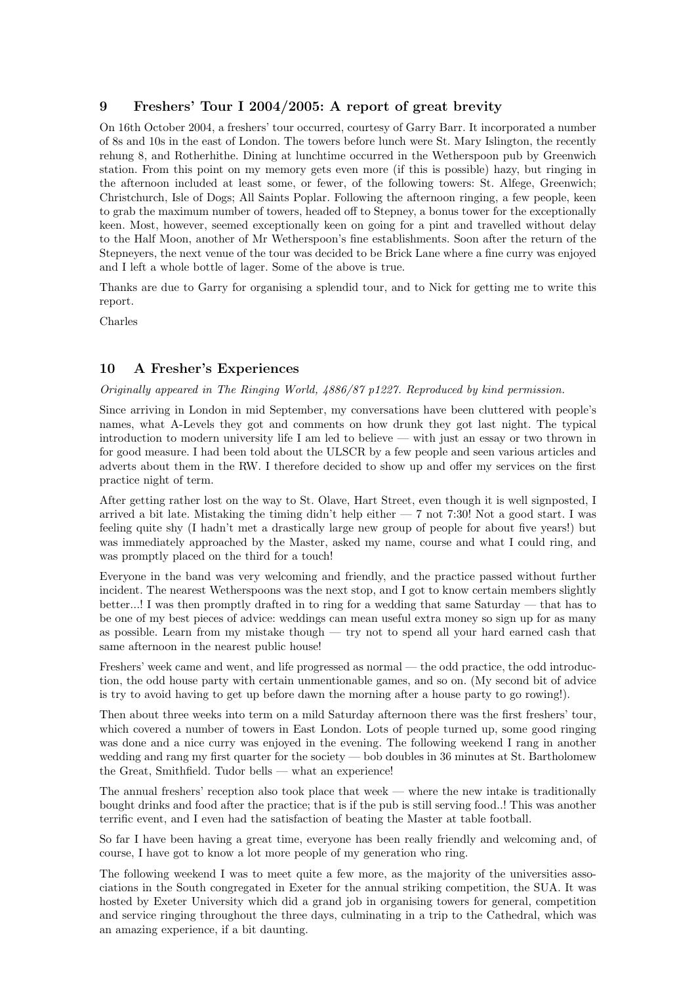### 9 Freshers' Tour I 2004/2005: A report of great brevity

On 16th October 2004, a freshers' tour occurred, courtesy of Garry Barr. It incorporated a number of 8s and 10s in the east of London. The towers before lunch were St. Mary Islington, the recently rehung 8, and Rotherhithe. Dining at lunchtime occurred in the Wetherspoon pub by Greenwich station. From this point on my memory gets even more (if this is possible) hazy, but ringing in the afternoon included at least some, or fewer, of the following towers: St. Alfege, Greenwich; Christchurch, Isle of Dogs; All Saints Poplar. Following the afternoon ringing, a few people, keen to grab the maximum number of towers, headed off to Stepney, a bonus tower for the exceptionally keen. Most, however, seemed exceptionally keen on going for a pint and travelled without delay to the Half Moon, another of Mr Wetherspoon's fine establishments. Soon after the return of the Stepneyers, the next venue of the tour was decided to be Brick Lane where a fine curry was enjoyed and I left a whole bottle of lager. Some of the above is true.

Thanks are due to Garry for organising a splendid tour, and to Nick for getting me to write this report.

Charles

#### 10 A Fresher's Experiences

#### Originally appeared in The Ringing World, 4886/87 p1227. Reproduced by kind permission.

Since arriving in London in mid September, my conversations have been cluttered with people's names, what A-Levels they got and comments on how drunk they got last night. The typical introduction to modern university life I am led to believe — with just an essay or two thrown in for good measure. I had been told about the ULSCR by a few people and seen various articles and adverts about them in the RW. I therefore decided to show up and offer my services on the first practice night of term.

After getting rather lost on the way to St. Olave, Hart Street, even though it is well signposted, I arrived a bit late. Mistaking the timing didn't help either — 7 not 7:30! Not a good start. I was feeling quite shy (I hadn't met a drastically large new group of people for about five years!) but was immediately approached by the Master, asked my name, course and what I could ring, and was promptly placed on the third for a touch!

Everyone in the band was very welcoming and friendly, and the practice passed without further incident. The nearest Wetherspoons was the next stop, and I got to know certain members slightly better...! I was then promptly drafted in to ring for a wedding that same Saturday — that has to be one of my best pieces of advice: weddings can mean useful extra money so sign up for as many as possible. Learn from my mistake though — try not to spend all your hard earned cash that same afternoon in the nearest public house!

Freshers' week came and went, and life progressed as normal — the odd practice, the odd introduction, the odd house party with certain unmentionable games, and so on. (My second bit of advice is try to avoid having to get up before dawn the morning after a house party to go rowing!).

Then about three weeks into term on a mild Saturday afternoon there was the first freshers' tour, which covered a number of towers in East London. Lots of people turned up, some good ringing was done and a nice curry was enjoyed in the evening. The following weekend I rang in another wedding and rang my first quarter for the society — bob doubles in 36 minutes at St. Bartholomew the Great, Smithfield. Tudor bells — what an experience!

The annual freshers' reception also took place that week — where the new intake is traditionally bought drinks and food after the practice; that is if the pub is still serving food..! This was another terrific event, and I even had the satisfaction of beating the Master at table football.

So far I have been having a great time, everyone has been really friendly and welcoming and, of course, I have got to know a lot more people of my generation who ring.

The following weekend I was to meet quite a few more, as the majority of the universities associations in the South congregated in Exeter for the annual striking competition, the SUA. It was hosted by Exeter University which did a grand job in organising towers for general, competition and service ringing throughout the three days, culminating in a trip to the Cathedral, which was an amazing experience, if a bit daunting.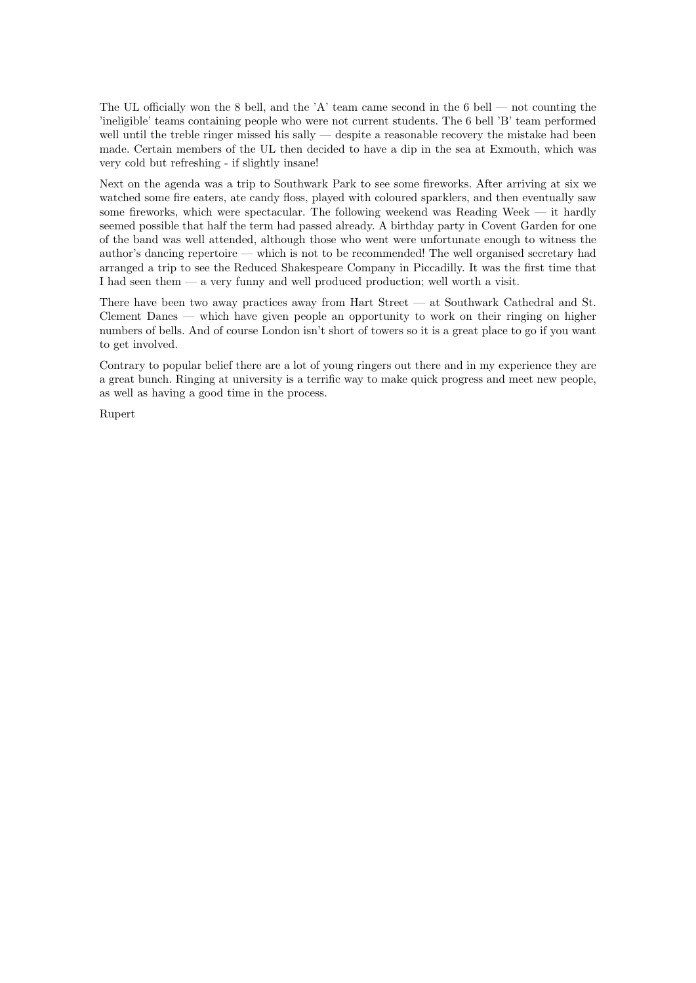The UL officially won the 8 bell, and the 'A' team came second in the 6 bell — not counting the 'ineligible' teams containing people who were not current students. The 6 bell 'B' team performed well until the treble ringer missed his sally — despite a reasonable recovery the mistake had been made. Certain members of the UL then decided to have a dip in the sea at Exmouth, which was very cold but refreshing - if slightly insane!

Next on the agenda was a trip to Southwark Park to see some fireworks. After arriving at six we watched some fire eaters, ate candy floss, played with coloured sparklers, and then eventually saw some fireworks, which were spectacular. The following weekend was Reading Week — it hardly seemed possible that half the term had passed already. A birthday party in Covent Garden for one of the band was well attended, although those who went were unfortunate enough to witness the author's dancing repertoire — which is not to be recommended! The well organised secretary had arranged a trip to see the Reduced Shakespeare Company in Piccadilly. It was the first time that I had seen them — a very funny and well produced production; well worth a visit.

There have been two away practices away from Hart Street — at Southwark Cathedral and St. Clement Danes — which have given people an opportunity to work on their ringing on higher numbers of bells. And of course London isn't short of towers so it is a great place to go if you want to get involved.

Contrary to popular belief there are a lot of young ringers out there and in my experience they are a great bunch. Ringing at university is a terrific way to make quick progress and meet new people, as well as having a good time in the process.

Rupert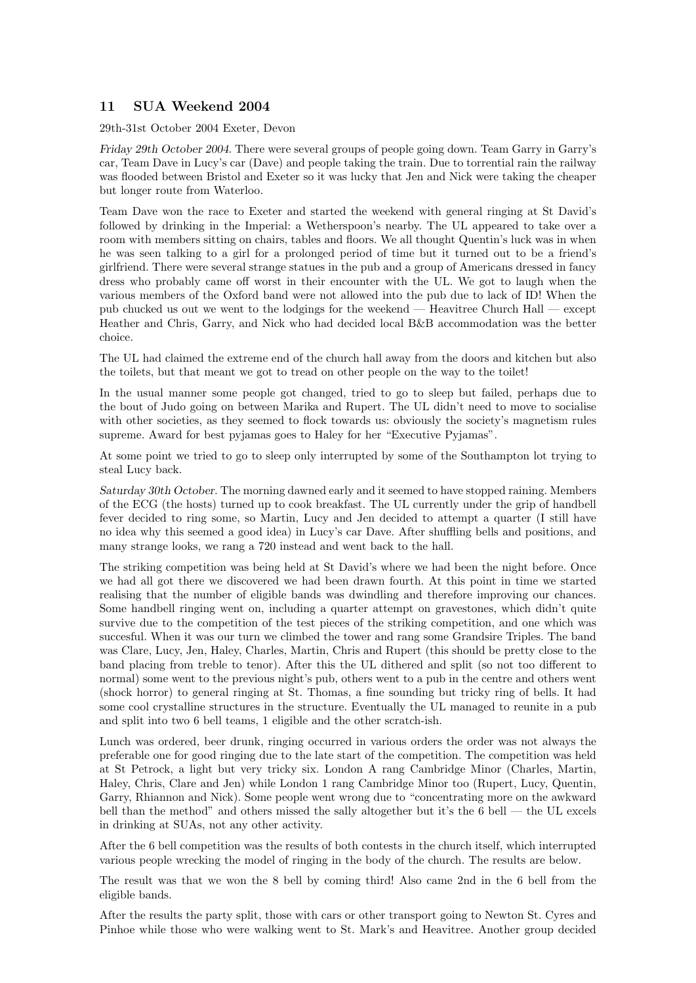# 11 SUA Weekend 2004

29th-31st October 2004 Exeter, Devon

Friday 29th October 2004. There were several groups of people going down. Team Garry in Garry's car, Team Dave in Lucy's car (Dave) and people taking the train. Due to torrential rain the railway was flooded between Bristol and Exeter so it was lucky that Jen and Nick were taking the cheaper but longer route from Waterloo.

Team Dave won the race to Exeter and started the weekend with general ringing at St David's followed by drinking in the Imperial: a Wetherspoon's nearby. The UL appeared to take over a room with members sitting on chairs, tables and floors. We all thought Quentin's luck was in when he was seen talking to a girl for a prolonged period of time but it turned out to be a friend's girlfriend. There were several strange statues in the pub and a group of Americans dressed in fancy dress who probably came off worst in their encounter with the UL. We got to laugh when the various members of the Oxford band were not allowed into the pub due to lack of ID! When the pub chucked us out we went to the lodgings for the weekend — Heavitree Church Hall — except Heather and Chris, Garry, and Nick who had decided local B&B accommodation was the better choice.

The UL had claimed the extreme end of the church hall away from the doors and kitchen but also the toilets, but that meant we got to tread on other people on the way to the toilet!

In the usual manner some people got changed, tried to go to sleep but failed, perhaps due to the bout of Judo going on between Marika and Rupert. The UL didn't need to move to socialise with other societies, as they seemed to flock towards us: obviously the society's magnetism rules supreme. Award for best pyjamas goes to Haley for her "Executive Pyjamas".

At some point we tried to go to sleep only interrupted by some of the Southampton lot trying to steal Lucy back.

Saturday 30th October. The morning dawned early and it seemed to have stopped raining. Members of the ECG (the hosts) turned up to cook breakfast. The UL currently under the grip of handbell fever decided to ring some, so Martin, Lucy and Jen decided to attempt a quarter (I still have no idea why this seemed a good idea) in Lucy's car Dave. After shuffling bells and positions, and many strange looks, we rang a 720 instead and went back to the hall.

The striking competition was being held at St David's where we had been the night before. Once we had all got there we discovered we had been drawn fourth. At this point in time we started realising that the number of eligible bands was dwindling and therefore improving our chances. Some handbell ringing went on, including a quarter attempt on gravestones, which didn't quite survive due to the competition of the test pieces of the striking competition, and one which was succesful. When it was our turn we climbed the tower and rang some Grandsire Triples. The band was Clare, Lucy, Jen, Haley, Charles, Martin, Chris and Rupert (this should be pretty close to the band placing from treble to tenor). After this the UL dithered and split (so not too different to normal) some went to the previous night's pub, others went to a pub in the centre and others went (shock horror) to general ringing at St. Thomas, a fine sounding but tricky ring of bells. It had some cool crystalline structures in the structure. Eventually the UL managed to reunite in a pub and split into two 6 bell teams, 1 eligible and the other scratch-ish.

Lunch was ordered, beer drunk, ringing occurred in various orders the order was not always the preferable one for good ringing due to the late start of the competition. The competition was held at St Petrock, a light but very tricky six. London A rang Cambridge Minor (Charles, Martin, Haley, Chris, Clare and Jen) while London 1 rang Cambridge Minor too (Rupert, Lucy, Quentin, Garry, Rhiannon and Nick). Some people went wrong due to "concentrating more on the awkward bell than the method" and others missed the sally altogether but it's the 6 bell — the UL excels in drinking at SUAs, not any other activity.

After the 6 bell competition was the results of both contests in the church itself, which interrupted various people wrecking the model of ringing in the body of the church. The results are below.

The result was that we won the 8 bell by coming third! Also came 2nd in the 6 bell from the eligible bands.

After the results the party split, those with cars or other transport going to Newton St. Cyres and Pinhoe while those who were walking went to St. Mark's and Heavitree. Another group decided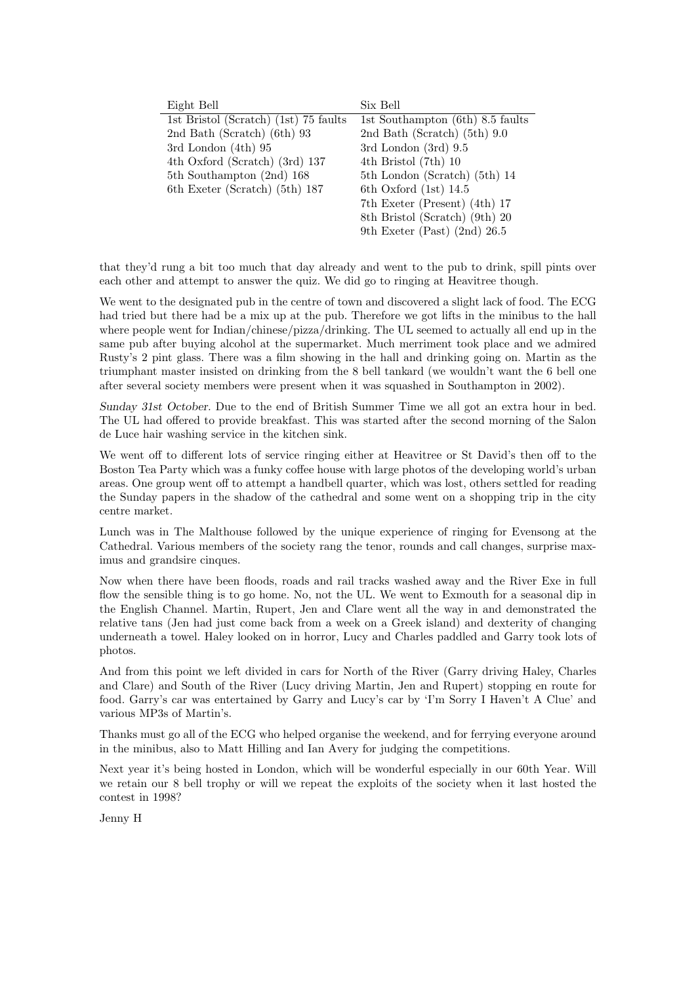| Eight Bell                            | Six Bell                         |
|---------------------------------------|----------------------------------|
| 1st Bristol (Scratch) (1st) 75 faults | 1st Southampton (6th) 8.5 faults |
| 2nd Bath (Scratch) (6th) 93           | 2nd Bath (Scratch) $(5th)$ 9.0   |
| 3rd London $(4th)$ 95                 | 3rd London $(3rd)$ 9.5           |
| 4th Oxford (Scratch) (3rd) 137        | 4th Bristol (7th) 10             |
| 5th Southampton (2nd) 168             | 5th London (Scratch) (5th) 14    |
| 6th Exeter (Scratch) (5th) 187        | 6th Oxford $(1st)$ 14.5          |
|                                       | 7th Exeter (Present) (4th) 17    |
|                                       | 8th Bristol (Scratch) (9th) 20   |
|                                       | 9th Exeter (Past) (2nd) $26.5$   |

that they'd rung a bit too much that day already and went to the pub to drink, spill pints over each other and attempt to answer the quiz. We did go to ringing at Heavitree though.

We went to the designated pub in the centre of town and discovered a slight lack of food. The ECG had tried but there had be a mix up at the pub. Therefore we got lifts in the minibus to the hall where people went for Indian/chinese/pizza/drinking. The UL seemed to actually all end up in the same pub after buying alcohol at the supermarket. Much merriment took place and we admired Rusty's 2 pint glass. There was a film showing in the hall and drinking going on. Martin as the triumphant master insisted on drinking from the 8 bell tankard (we wouldn't want the 6 bell one after several society members were present when it was squashed in Southampton in 2002).

Sunday 31st October. Due to the end of British Summer Time we all got an extra hour in bed. The UL had offered to provide breakfast. This was started after the second morning of the Salon de Luce hair washing service in the kitchen sink.

We went off to different lots of service ringing either at Heavitree or St David's then off to the Boston Tea Party which was a funky coffee house with large photos of the developing world's urban areas. One group went off to attempt a handbell quarter, which was lost, others settled for reading the Sunday papers in the shadow of the cathedral and some went on a shopping trip in the city centre market.

Lunch was in The Malthouse followed by the unique experience of ringing for Evensong at the Cathedral. Various members of the society rang the tenor, rounds and call changes, surprise maximus and grandsire cinques.

Now when there have been floods, roads and rail tracks washed away and the River Exe in full flow the sensible thing is to go home. No, not the UL. We went to Exmouth for a seasonal dip in the English Channel. Martin, Rupert, Jen and Clare went all the way in and demonstrated the relative tans (Jen had just come back from a week on a Greek island) and dexterity of changing underneath a towel. Haley looked on in horror, Lucy and Charles paddled and Garry took lots of photos.

And from this point we left divided in cars for North of the River (Garry driving Haley, Charles and Clare) and South of the River (Lucy driving Martin, Jen and Rupert) stopping en route for food. Garry's car was entertained by Garry and Lucy's car by 'I'm Sorry I Haven't A Clue' and various MP3s of Martin's.

Thanks must go all of the ECG who helped organise the weekend, and for ferrying everyone around in the minibus, also to Matt Hilling and Ian Avery for judging the competitions.

Next year it's being hosted in London, which will be wonderful especially in our 60th Year. Will we retain our 8 bell trophy or will we repeat the exploits of the society when it last hosted the contest in 1998?

Jenny H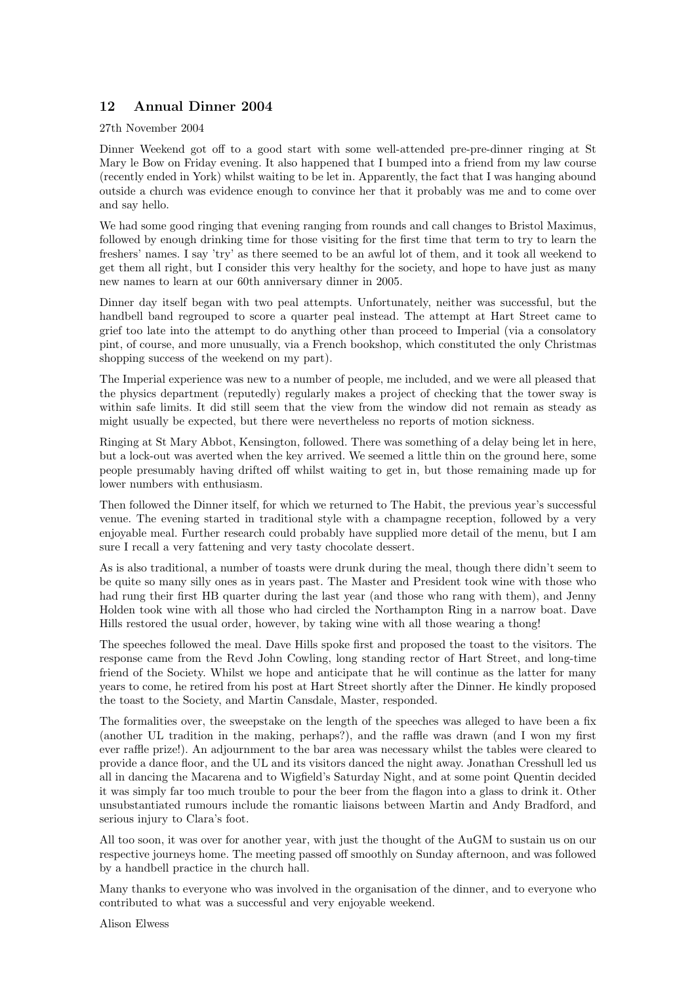# 12 Annual Dinner 2004

27th November 2004

Dinner Weekend got off to a good start with some well-attended pre-pre-dinner ringing at St Mary le Bow on Friday evening. It also happened that I bumped into a friend from my law course (recently ended in York) whilst waiting to be let in. Apparently, the fact that I was hanging abound outside a church was evidence enough to convince her that it probably was me and to come over and say hello.

We had some good ringing that evening ranging from rounds and call changes to Bristol Maximus, followed by enough drinking time for those visiting for the first time that term to try to learn the freshers' names. I say 'try' as there seemed to be an awful lot of them, and it took all weekend to get them all right, but I consider this very healthy for the society, and hope to have just as many new names to learn at our 60th anniversary dinner in 2005.

Dinner day itself began with two peal attempts. Unfortunately, neither was successful, but the handbell band regrouped to score a quarter peal instead. The attempt at Hart Street came to grief too late into the attempt to do anything other than proceed to Imperial (via a consolatory pint, of course, and more unusually, via a French bookshop, which constituted the only Christmas shopping success of the weekend on my part).

The Imperial experience was new to a number of people, me included, and we were all pleased that the physics department (reputedly) regularly makes a project of checking that the tower sway is within safe limits. It did still seem that the view from the window did not remain as steady as might usually be expected, but there were nevertheless no reports of motion sickness.

Ringing at St Mary Abbot, Kensington, followed. There was something of a delay being let in here, but a lock-out was averted when the key arrived. We seemed a little thin on the ground here, some people presumably having drifted off whilst waiting to get in, but those remaining made up for lower numbers with enthusiasm.

Then followed the Dinner itself, for which we returned to The Habit, the previous year's successful venue. The evening started in traditional style with a champagne reception, followed by a very enjoyable meal. Further research could probably have supplied more detail of the menu, but I am sure I recall a very fattening and very tasty chocolate dessert.

As is also traditional, a number of toasts were drunk during the meal, though there didn't seem to be quite so many silly ones as in years past. The Master and President took wine with those who had rung their first HB quarter during the last year (and those who rang with them), and Jenny Holden took wine with all those who had circled the Northampton Ring in a narrow boat. Dave Hills restored the usual order, however, by taking wine with all those wearing a thong!

The speeches followed the meal. Dave Hills spoke first and proposed the toast to the visitors. The response came from the Revd John Cowling, long standing rector of Hart Street, and long-time friend of the Society. Whilst we hope and anticipate that he will continue as the latter for many years to come, he retired from his post at Hart Street shortly after the Dinner. He kindly proposed the toast to the Society, and Martin Cansdale, Master, responded.

The formalities over, the sweepstake on the length of the speeches was alleged to have been a fix (another UL tradition in the making, perhaps?), and the raffle was drawn (and I won my first ever raffle prize!). An adjournment to the bar area was necessary whilst the tables were cleared to provide a dance floor, and the UL and its visitors danced the night away. Jonathan Cresshull led us all in dancing the Macarena and to Wigfield's Saturday Night, and at some point Quentin decided it was simply far too much trouble to pour the beer from the flagon into a glass to drink it. Other unsubstantiated rumours include the romantic liaisons between Martin and Andy Bradford, and serious injury to Clara's foot.

All too soon, it was over for another year, with just the thought of the AuGM to sustain us on our respective journeys home. The meeting passed off smoothly on Sunday afternoon, and was followed by a handbell practice in the church hall.

Many thanks to everyone who was involved in the organisation of the dinner, and to everyone who contributed to what was a successful and very enjoyable weekend.

Alison Elwess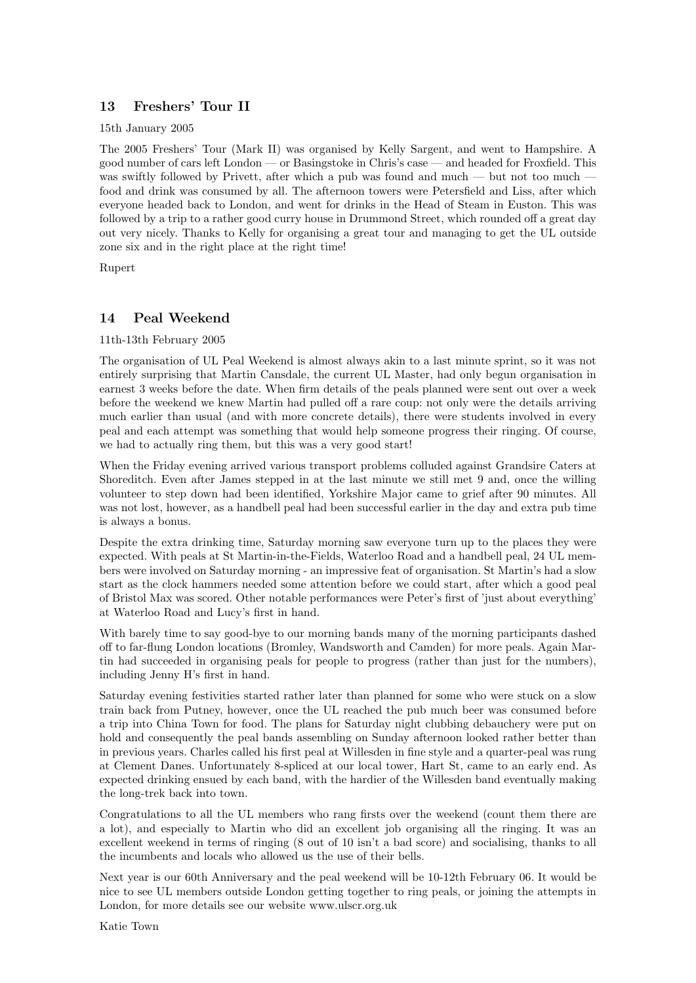# 13 Freshers' Tour II

15th January 2005

The 2005 Freshers' Tour (Mark II) was organised by Kelly Sargent, and went to Hampshire. A good number of cars left London — or Basingstoke in Chris's case — and headed for Froxfield. This was swiftly followed by Privett, after which a pub was found and much — but not too much food and drink was consumed by all. The afternoon towers were Petersfield and Liss, after which everyone headed back to London, and went for drinks in the Head of Steam in Euston. This was followed by a trip to a rather good curry house in Drummond Street, which rounded off a great day out very nicely. Thanks to Kelly for organising a great tour and managing to get the UL outside zone six and in the right place at the right time!

Rupert

### 14 Peal Weekend

#### 11th-13th February 2005

The organisation of UL Peal Weekend is almost always akin to a last minute sprint, so it was not entirely surprising that Martin Cansdale, the current UL Master, had only begun organisation in earnest 3 weeks before the date. When firm details of the peals planned were sent out over a week before the weekend we knew Martin had pulled off a rare coup: not only were the details arriving much earlier than usual (and with more concrete details), there were students involved in every peal and each attempt was something that would help someone progress their ringing. Of course, we had to actually ring them, but this was a very good start!

When the Friday evening arrived various transport problems colluded against Grandsire Caters at Shoreditch. Even after James stepped in at the last minute we still met 9 and, once the willing volunteer to step down had been identified, Yorkshire Major came to grief after 90 minutes. All was not lost, however, as a handbell peal had been successful earlier in the day and extra pub time is always a bonus.

Despite the extra drinking time, Saturday morning saw everyone turn up to the places they were expected. With peals at St Martin-in-the-Fields, Waterloo Road and a handbell peal, 24 UL members were involved on Saturday morning - an impressive feat of organisation. St Martin's had a slow start as the clock hammers needed some attention before we could start, after which a good peal of Bristol Max was scored. Other notable performances were Peter's first of 'just about everything' at Waterloo Road and Lucy's first in hand.

With barely time to say good-bye to our morning bands many of the morning participants dashed off to far-flung London locations (Bromley, Wandsworth and Camden) for more peals. Again Martin had succeeded in organising peals for people to progress (rather than just for the numbers), including Jenny H's first in hand.

Saturday evening festivities started rather later than planned for some who were stuck on a slow train back from Putney, however, once the UL reached the pub much beer was consumed before a trip into China Town for food. The plans for Saturday night clubbing debauchery were put on hold and consequently the peal bands assembling on Sunday afternoon looked rather better than in previous years. Charles called his first peal at Willesden in fine style and a quarter-peal was rung at Clement Danes. Unfortunately 8-spliced at our local tower, Hart St, came to an early end. As expected drinking ensued by each band, with the hardier of the Willesden band eventually making the long-trek back into town.

Congratulations to all the UL members who rang firsts over the weekend (count them there are a lot), and especially to Martin who did an excellent job organising all the ringing. It was an excellent weekend in terms of ringing (8 out of 10 isn't a bad score) and socialising, thanks to all the incumbents and locals who allowed us the use of their bells.

Next year is our 60th Anniversary and the peal weekend will be 10-12th February 06. It would be nice to see UL members outside London getting together to ring peals, or joining the attempts in London, for more details see our website www.ulscr.org.uk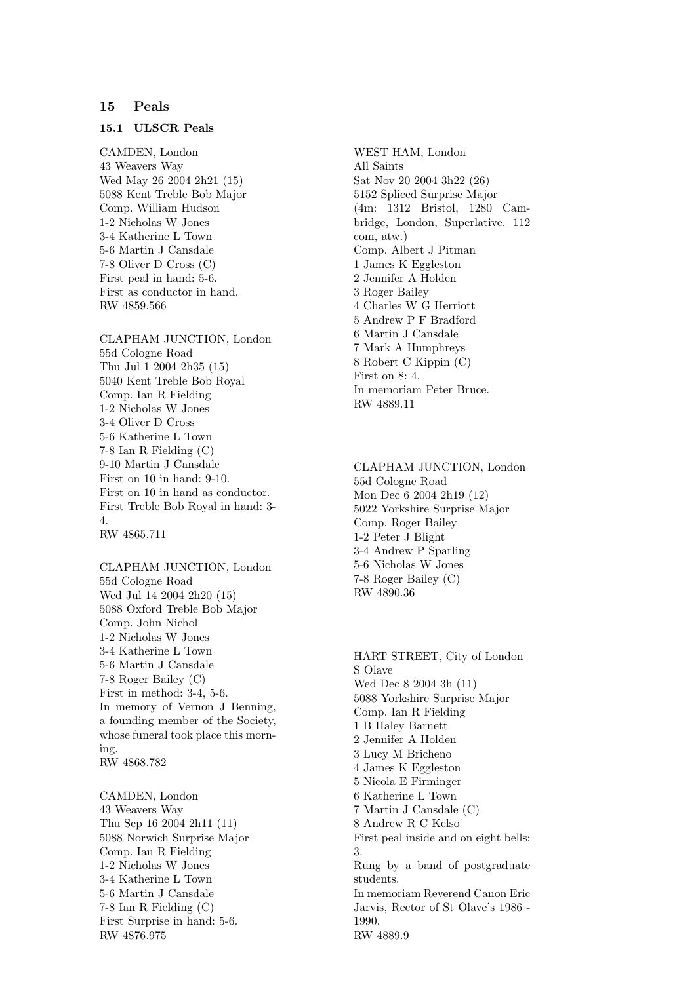#### 15 Peals

#### 15.1 ULSCR Peals

CAMDEN, London 43 Weavers Way Wed May 26 2004 2h21 (15) 5088 Kent Treble Bob Major Comp. William Hudson 1-2 Nicholas W Jones 3-4 Katherine L Town 5-6 Martin J Cansdale 7-8 Oliver D Cross (C) First peal in hand: 5-6. First as conductor in hand. RW 4859.566

CLAPHAM JUNCTION, London 55d Cologne Road Thu Jul 1 2004 2h35 (15) 5040 Kent Treble Bob Royal Comp. Ian R Fielding 1-2 Nicholas W Jones 3-4 Oliver D Cross 5-6 Katherine L Town 7-8 Ian R Fielding (C) 9-10 Martin J Cansdale First on 10 in hand: 9-10. First on 10 in hand as conductor. First Treble Bob Royal in hand: 3- 4. RW 4865.711

CLAPHAM JUNCTION, London 55d Cologne Road Wed Jul 14 2004 2h20 (15) 5088 Oxford Treble Bob Major Comp. John Nichol 1-2 Nicholas W Jones 3-4 Katherine L Town 5-6 Martin J Cansdale 7-8 Roger Bailey (C) First in method: 3-4, 5-6. In memory of Vernon J Benning, a founding member of the Society, whose funeral took place this morning. RW 4868.782

CAMDEN, London 43 Weavers Way Thu Sep 16 2004 2h11 (11) 5088 Norwich Surprise Major Comp. Ian R Fielding 1-2 Nicholas W Jones 3-4 Katherine L Town 5-6 Martin J Cansdale 7-8 Ian R Fielding (C) First Surprise in hand: 5-6. RW 4876.975

WEST HAM, London All Saints Sat Nov 20 2004 3h22 (26) 5152 Spliced Surprise Major (4m: 1312 Bristol, 1280 Cambridge, London, Superlative. 112 com, atw.) Comp. Albert J Pitman 1 James K Eggleston 2 Jennifer A Holden 3 Roger Bailey 4 Charles W G Herriott 5 Andrew P F Bradford 6 Martin J Cansdale 7 Mark A Humphreys 8 Robert C Kippin (C) First on 8: 4. In memoriam Peter Bruce. RW 4889.11

CLAPHAM JUNCTION, London 55d Cologne Road Mon Dec 6 2004 2h19 (12) 5022 Yorkshire Surprise Major Comp. Roger Bailey 1-2 Peter J Blight 3-4 Andrew P Sparling 5-6 Nicholas W Jones 7-8 Roger Bailey (C) RW 4890.36

HART STREET, City of London S Olave Wed Dec 8 2004 3h (11) 5088 Yorkshire Surprise Major Comp. Ian R Fielding 1 B Haley Barnett 2 Jennifer A Holden 3 Lucy M Bricheno 4 James K Eggleston 5 Nicola E Firminger 6 Katherine L Town 7 Martin J Cansdale (C) 8 Andrew R C Kelso First peal inside and on eight bells: 3. Rung by a band of postgraduate students. In memoriam Reverend Canon Eric Jarvis, Rector of St Olave's 1986 - 1990. RW 4889.9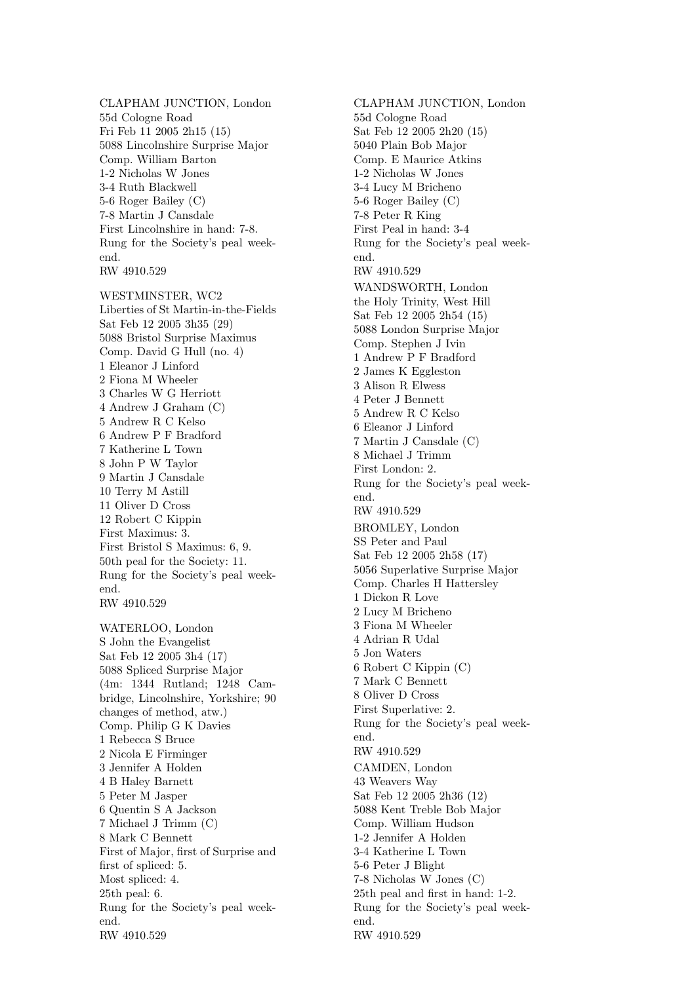CLAPHAM JUNCTION, London 55d Cologne Road Fri Feb 11 2005 2h15 (15) 5088 Lincolnshire Surprise Major Comp. William Barton 1-2 Nicholas W Jones 3-4 Ruth Blackwell 5-6 Roger Bailey (C) 7-8 Martin J Cansdale First Lincolnshire in hand: 7-8. Rung for the Society's peal weekend. RW 4910.529

WESTMINSTER, WC2 Liberties of St Martin-in-the-Fields Sat Feb 12 2005 3h35 (29) 5088 Bristol Surprise Maximus Comp. David G Hull (no. 4) 1 Eleanor J Linford 2 Fiona M Wheeler 3 Charles W G Herriott 4 Andrew J Graham (C) 5 Andrew R C Kelso 6 Andrew P F Bradford 7 Katherine L Town 8 John P W Taylor 9 Martin J Cansdale 10 Terry M Astill 11 Oliver D Cross 12 Robert C Kippin First Maximus: 3. First Bristol S Maximus: 6, 9. 50th peal for the Society: 11. Rung for the Society's peal weekend. RW 4910.529

WATERLOO, London S John the Evangelist Sat Feb 12 2005 3h4 (17) 5088 Spliced Surprise Major (4m: 1344 Rutland; 1248 Cambridge, Lincolnshire, Yorkshire; 90 changes of method, atw.) Comp. Philip G K Davies 1 Rebecca S Bruce 2 Nicola E Firminger 3 Jennifer A Holden 4 B Haley Barnett 5 Peter M Jasper 6 Quentin S A Jackson 7 Michael J Trimm (C) 8 Mark C Bennett First of Major, first of Surprise and first of spliced: 5. Most spliced: 4. 25th peal: 6. Rung for the Society's peal weekend. RW 4910.529

CLAPHAM JUNCTION, London 55d Cologne Road Sat Feb 12 2005 2h20 (15) 5040 Plain Bob Major Comp. E Maurice Atkins 1-2 Nicholas W Jones 3-4 Lucy M Bricheno 5-6 Roger Bailey (C) 7-8 Peter R King First Peal in hand: 3-4 Rung for the Society's peal weekend. RW 4910.529 WANDSWORTH, London the Holy Trinity, West Hill Sat Feb 12 2005 2h54 (15) 5088 London Surprise Major Comp. Stephen J Ivin 1 Andrew P F Bradford 2 James K Eggleston 3 Alison R Elwess 4 Peter J Bennett 5 Andrew R C Kelso 6 Eleanor J Linford 7 Martin J Cansdale (C) 8 Michael J Trimm First London: 2. Rung for the Society's peal weekend. RW 4910.529 BROMLEY, London SS Peter and Paul Sat Feb 12 2005 2h58 (17) 5056 Superlative Surprise Major Comp. Charles H Hattersley 1 Dickon R Love 2 Lucy M Bricheno 3 Fiona M Wheeler 4 Adrian R Udal 5 Jon Waters 6 Robert C Kippin (C) 7 Mark C Bennett 8 Oliver D Cross First Superlative: 2. Rung for the Society's peal weekend. RW 4910.529 CAMDEN, London 43 Weavers Way Sat Feb 12 2005 2h36 (12) 5088 Kent Treble Bob Major Comp. William Hudson 1-2 Jennifer A Holden 3-4 Katherine L Town 5-6 Peter J Blight 7-8 Nicholas W Jones (C) 25th peal and first in hand: 1-2. Rung for the Society's peal weekend. RW 4910.529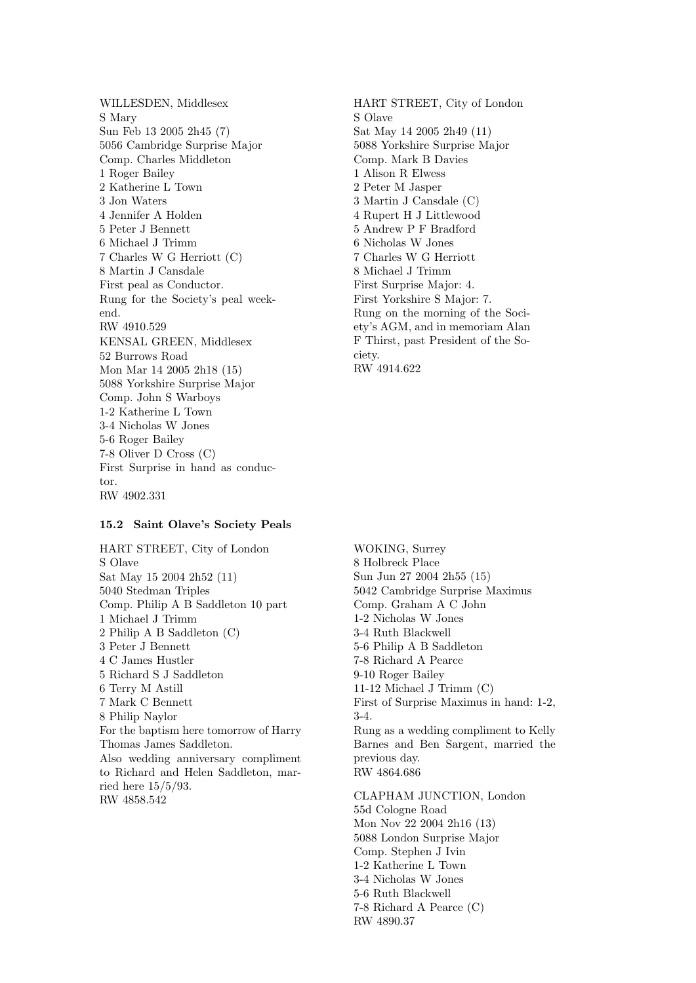WILLESDEN, Middlesex S Mary Sun Feb 13 2005 2h45 (7) 5056 Cambridge Surprise Major Comp. Charles Middleton 1 Roger Bailey 2 Katherine L Town 3 Jon Waters 4 Jennifer A Holden 5 Peter J Bennett 6 Michael J Trimm 7 Charles W G Herriott (C) 8 Martin J Cansdale First peal as Conductor. Rung for the Society's peal weekend. RW 4910.529 KENSAL GREEN, Middlesex 52 Burrows Road Mon Mar 14 2005 2h18 (15) 5088 Yorkshire Surprise Major Comp. John S Warboys 1-2 Katherine L Town 3-4 Nicholas W Jones 5-6 Roger Bailey 7-8 Oliver D Cross (C) First Surprise in hand as conductor. RW 4902.331

#### 15.2 Saint Olave's Society Peals

HART STREET, City of London S Olave Sat May 15 2004 2h52 (11) 5040 Stedman Triples Comp. Philip A B Saddleton 10 part 1 Michael J Trimm 2 Philip A B Saddleton (C) 3 Peter J Bennett 4 C James Hustler 5 Richard S J Saddleton 6 Terry M Astill 7 Mark C Bennett 8 Philip Naylor For the baptism here tomorrow of Harry Thomas James Saddleton. Also wedding anniversary compliment to Richard and Helen Saddleton, married here 15/5/93. RW 4858.542

HART STREET, City of London S Olave Sat May 14 2005 2h49 (11) 5088 Yorkshire Surprise Major Comp. Mark B Davies 1 Alison R Elwess 2 Peter M Jasper 3 Martin J Cansdale (C) 4 Rupert H J Littlewood 5 Andrew P F Bradford 6 Nicholas W Jones 7 Charles W G Herriott 8 Michael J Trimm First Surprise Major: 4. First Yorkshire S Major: 7. Rung on the morning of the Society's AGM, and in memoriam Alan F Thirst, past President of the Society. RW 4914.622

WOKING, Surrey 8 Holbreck Place Sun Jun 27 2004 2h55 (15) 5042 Cambridge Surprise Maximus Comp. Graham A C John 1-2 Nicholas W Jones 3-4 Ruth Blackwell 5-6 Philip A B Saddleton 7-8 Richard A Pearce 9-10 Roger Bailey 11-12 Michael J Trimm (C) First of Surprise Maximus in hand: 1-2, 3-4. Rung as a wedding compliment to Kelly Barnes and Ben Sargent, married the previous day. RW 4864.686

CLAPHAM JUNCTION, London 55d Cologne Road Mon Nov 22 2004 2h16 (13) 5088 London Surprise Major Comp. Stephen J Ivin 1-2 Katherine L Town 3-4 Nicholas W Jones 5-6 Ruth Blackwell 7-8 Richard A Pearce (C) RW 4890.37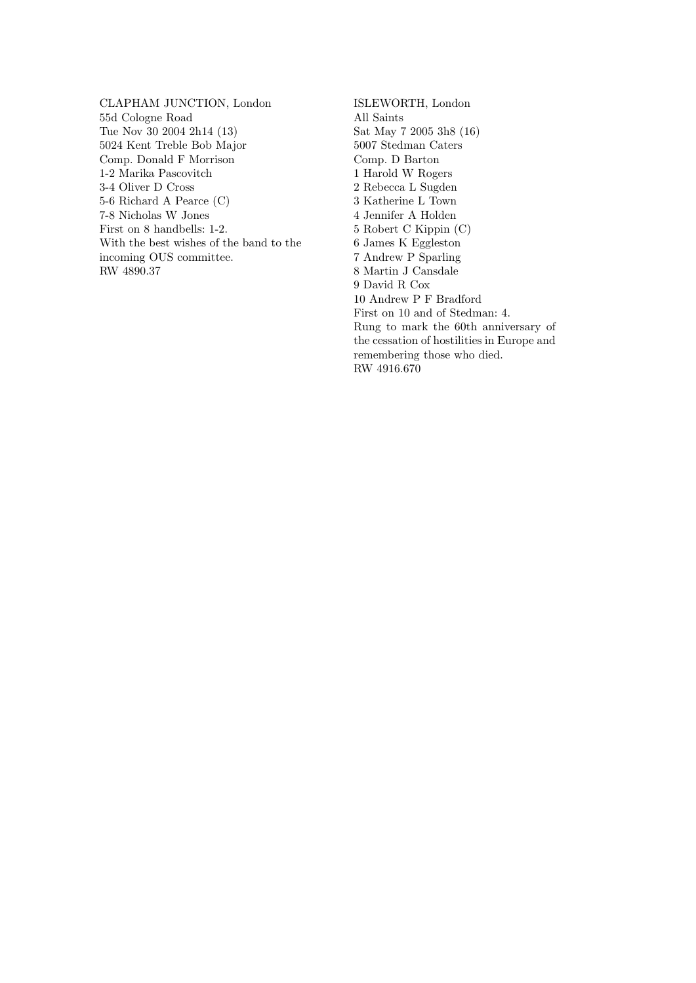CLAPHAM JUNCTION, London 55d Cologne Road Tue Nov 30 2004 2h14 (13) 5024 Kent Treble Bob Major Comp. Donald F Morrison 1-2 Marika Pascovitch 3-4 Oliver D Cross 5-6 Richard A Pearce (C) 7-8 Nicholas W Jones First on 8 handbells: 1-2. With the best wishes of the band to the incoming OUS committee. RW 4890.37

ISLEWORTH, London All Saints Sat May 7 2005 3h8 (16) 5007 Stedman Caters Comp. D Barton 1 Harold W Rogers 2 Rebecca L Sugden 3 Katherine L Town 4 Jennifer A Holden 5 Robert C Kippin (C) 6 James K Eggleston 7 Andrew P Sparling 8 Martin J Cansdale 9 David R Cox 10 Andrew P F Bradford First on 10 and of Stedman: 4. Rung to mark the 60th anniversary of the cessation of hostilities in Europe and remembering those who died. RW 4916.670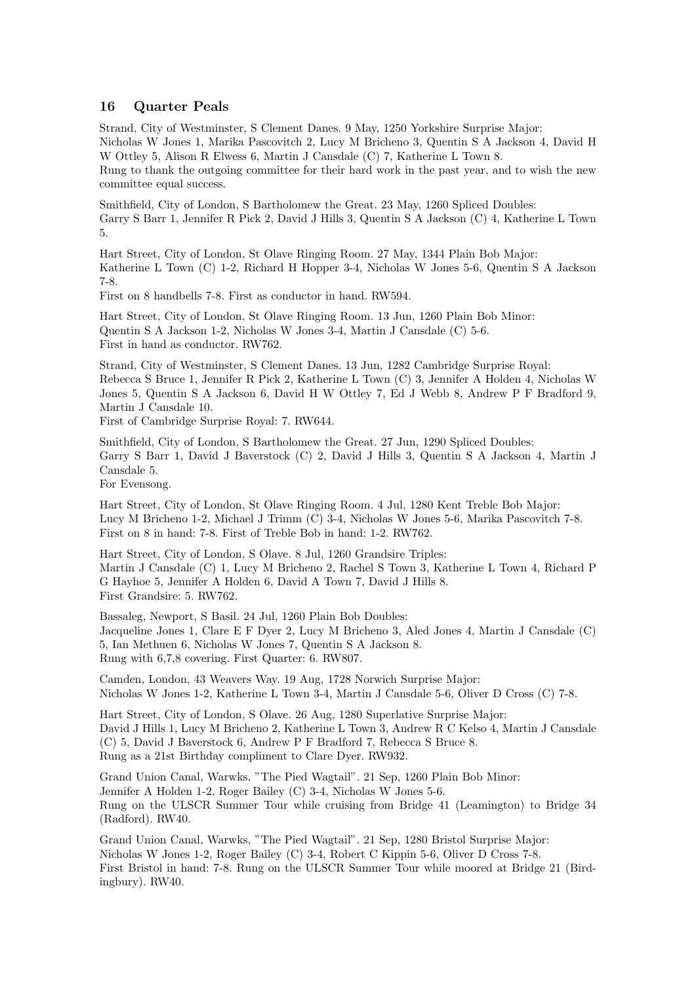### 16 Quarter Peals

Strand, City of Westminster, S Clement Danes. 9 May, 1250 Yorkshire Surprise Major: Nicholas W Jones 1, Marika Pascovitch 2, Lucy M Bricheno 3, Quentin S A Jackson 4, David H W Ottley 5, Alison R Elwess 6, Martin J Cansdale (C) 7, Katherine L Town 8. Rung to thank the outgoing committee for their hard work in the past year, and to wish the new committee equal success.

Smithfield, City of London, S Bartholomew the Great. 23 May, 1260 Spliced Doubles: Garry S Barr 1, Jennifer R Pick 2, David J Hills 3, Quentin S A Jackson (C) 4, Katherine L Town 5.

Hart Street, City of London, St Olave Ringing Room. 27 May, 1344 Plain Bob Major: Katherine L Town (C) 1-2, Richard H Hopper 3-4, Nicholas W Jones 5-6, Quentin S A Jackson 7-8.

First on 8 handbells 7-8. First as conductor in hand. RW594.

Hart Street, City of London, St Olave Ringing Room. 13 Jun, 1260 Plain Bob Minor: Quentin S A Jackson 1-2, Nicholas W Jones 3-4, Martin J Cansdale (C) 5-6. First in hand as conductor. RW762.

Strand, City of Westminster, S Clement Danes. 13 Jun, 1282 Cambridge Surprise Royal: Rebecca S Bruce 1, Jennifer R Pick 2, Katherine L Town (C) 3, Jennifer A Holden 4, Nicholas W Jones 5, Quentin S A Jackson 6, David H W Ottley 7, Ed J Webb 8, Andrew P F Bradford 9, Martin J Cansdale 10.

First of Cambridge Surprise Royal: 7. RW644.

Smithfield, City of London, S Bartholomew the Great. 27 Jun, 1290 Spliced Doubles: Garry S Barr 1, David J Baverstock (C) 2, David J Hills 3, Quentin S A Jackson 4, Martin J Cansdale 5.

For Evensong.

Hart Street, City of London, St Olave Ringing Room. 4 Jul, 1280 Kent Treble Bob Major: Lucy M Bricheno 1-2, Michael J Trimm (C) 3-4, Nicholas W Jones 5-6, Marika Pascovitch 7-8. First on 8 in hand: 7-8. First of Treble Bob in hand: 1-2. RW762.

Hart Street, City of London, S Olave. 8 Jul, 1260 Grandsire Triples: Martin J Cansdale (C) 1, Lucy M Bricheno 2, Rachel S Town 3, Katherine L Town 4, Richard P G Hayhoe 5, Jennifer A Holden 6, David A Town 7, David J Hills 8. First Grandsire: 5. RW762.

Bassaleg, Newport, S Basil. 24 Jul, 1260 Plain Bob Doubles: Jacqueline Jones 1, Clare E F Dyer 2, Lucy M Bricheno 3, Aled Jones 4, Martin J Cansdale (C) 5, Ian Methuen 6, Nicholas W Jones 7, Quentin S A Jackson 8. Rung with 6,7,8 covering. First Quarter: 6. RW807.

Camden, London, 43 Weavers Way. 19 Aug, 1728 Norwich Surprise Major: Nicholas W Jones 1-2, Katherine L Town 3-4, Martin J Cansdale 5-6, Oliver D Cross (C) 7-8.

Hart Street, City of London, S Olave. 26 Aug, 1280 Superlative Surprise Major: David J Hills 1, Lucy M Bricheno 2, Katherine L Town 3, Andrew R C Kelso 4, Martin J Cansdale (C) 5, David J Baverstock 6, Andrew P F Bradford 7, Rebecca S Bruce 8. Rung as a 21st Birthday compliment to Clare Dyer. RW932.

Grand Union Canal, Warwks, "The Pied Wagtail". 21 Sep, 1260 Plain Bob Minor: Jennifer A Holden 1-2, Roger Bailey (C) 3-4, Nicholas W Jones 5-6. Rung on the ULSCR Summer Tour while cruising from Bridge 41 (Leamington) to Bridge 34 (Radford). RW40.

Grand Union Canal, Warwks, "The Pied Wagtail". 21 Sep, 1280 Bristol Surprise Major: Nicholas W Jones 1-2, Roger Bailey (C) 3-4, Robert C Kippin 5-6, Oliver D Cross 7-8. First Bristol in hand: 7-8. Rung on the ULSCR Summer Tour while moored at Bridge 21 (Birdingbury). RW40.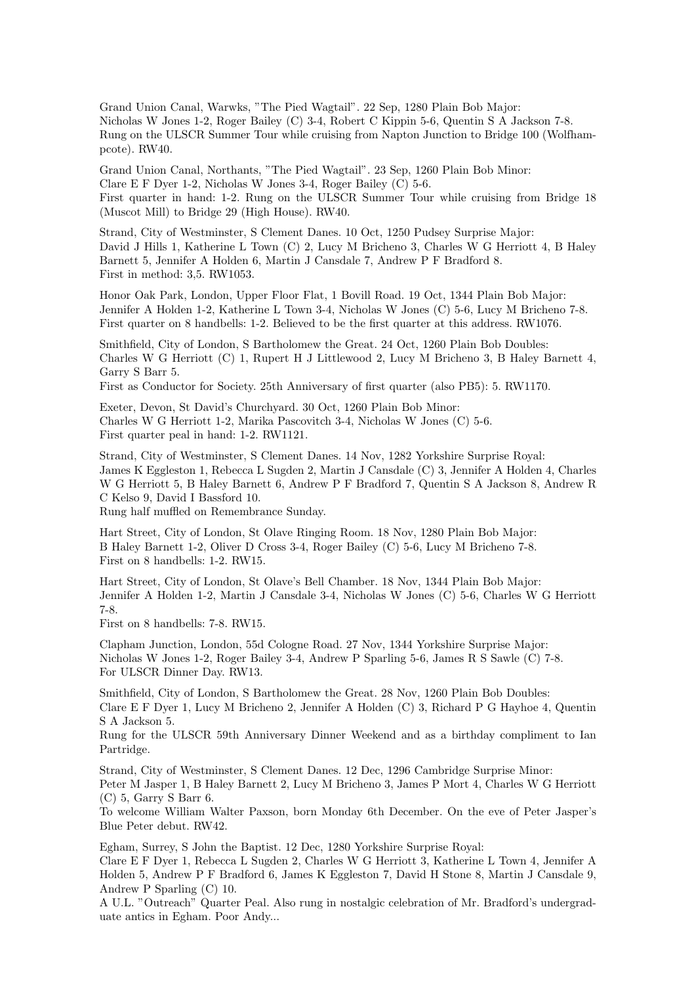Grand Union Canal, Warwks, "The Pied Wagtail". 22 Sep, 1280 Plain Bob Major: Nicholas W Jones 1-2, Roger Bailey (C) 3-4, Robert C Kippin 5-6, Quentin S A Jackson 7-8. Rung on the ULSCR Summer Tour while cruising from Napton Junction to Bridge 100 (Wolfhampcote). RW40.

Grand Union Canal, Northants, "The Pied Wagtail". 23 Sep, 1260 Plain Bob Minor: Clare E F Dyer 1-2, Nicholas W Jones 3-4, Roger Bailey (C) 5-6. First quarter in hand: 1-2. Rung on the ULSCR Summer Tour while cruising from Bridge 18 (Muscot Mill) to Bridge 29 (High House). RW40.

Strand, City of Westminster, S Clement Danes. 10 Oct, 1250 Pudsey Surprise Major: David J Hills 1, Katherine L Town (C) 2, Lucy M Bricheno 3, Charles W G Herriott 4, B Haley Barnett 5, Jennifer A Holden 6, Martin J Cansdale 7, Andrew P F Bradford 8. First in method: 3,5. RW1053.

Honor Oak Park, London, Upper Floor Flat, 1 Bovill Road. 19 Oct, 1344 Plain Bob Major: Jennifer A Holden 1-2, Katherine L Town 3-4, Nicholas W Jones (C) 5-6, Lucy M Bricheno 7-8. First quarter on 8 handbells: 1-2. Believed to be the first quarter at this address. RW1076.

Smithfield, City of London, S Bartholomew the Great. 24 Oct, 1260 Plain Bob Doubles: Charles W G Herriott (C) 1, Rupert H J Littlewood 2, Lucy M Bricheno 3, B Haley Barnett 4, Garry S Barr 5.

First as Conductor for Society. 25th Anniversary of first quarter (also PB5): 5. RW1170.

Exeter, Devon, St David's Churchyard. 30 Oct, 1260 Plain Bob Minor: Charles W G Herriott 1-2, Marika Pascovitch 3-4, Nicholas W Jones (C) 5-6. First quarter peal in hand: 1-2. RW1121.

Strand, City of Westminster, S Clement Danes. 14 Nov, 1282 Yorkshire Surprise Royal: James K Eggleston 1, Rebecca L Sugden 2, Martin J Cansdale (C) 3, Jennifer A Holden 4, Charles W G Herriott 5, B Haley Barnett 6, Andrew P F Bradford 7, Quentin S A Jackson 8, Andrew R C Kelso 9, David I Bassford 10.

Rung half muffled on Remembrance Sunday.

Hart Street, City of London, St Olave Ringing Room. 18 Nov, 1280 Plain Bob Major: B Haley Barnett 1-2, Oliver D Cross 3-4, Roger Bailey (C) 5-6, Lucy M Bricheno 7-8. First on 8 handbells: 1-2. RW15.

Hart Street, City of London, St Olave's Bell Chamber. 18 Nov, 1344 Plain Bob Major: Jennifer A Holden 1-2, Martin J Cansdale 3-4, Nicholas W Jones (C) 5-6, Charles W G Herriott 7-8.

First on 8 handbells: 7-8. RW15.

Clapham Junction, London, 55d Cologne Road. 27 Nov, 1344 Yorkshire Surprise Major: Nicholas W Jones 1-2, Roger Bailey 3-4, Andrew P Sparling 5-6, James R S Sawle (C) 7-8. For ULSCR Dinner Day. RW13.

Smithfield, City of London, S Bartholomew the Great. 28 Nov, 1260 Plain Bob Doubles: Clare E F Dyer 1, Lucy M Bricheno 2, Jennifer A Holden (C) 3, Richard P G Hayhoe 4, Quentin S A Jackson 5.

Rung for the ULSCR 59th Anniversary Dinner Weekend and as a birthday compliment to Ian Partridge.

Strand, City of Westminster, S Clement Danes. 12 Dec, 1296 Cambridge Surprise Minor: Peter M Jasper 1, B Haley Barnett 2, Lucy M Bricheno 3, James P Mort 4, Charles W G Herriott (C) 5, Garry S Barr 6.

To welcome William Walter Paxson, born Monday 6th December. On the eve of Peter Jasper's Blue Peter debut. RW42.

Egham, Surrey, S John the Baptist. 12 Dec, 1280 Yorkshire Surprise Royal:

Clare E F Dyer 1, Rebecca L Sugden 2, Charles W G Herriott 3, Katherine L Town 4, Jennifer A Holden 5, Andrew P F Bradford 6, James K Eggleston 7, David H Stone 8, Martin J Cansdale 9, Andrew P Sparling (C) 10.

A U.L. "Outreach" Quarter Peal. Also rung in nostalgic celebration of Mr. Bradford's undergraduate antics in Egham. Poor Andy...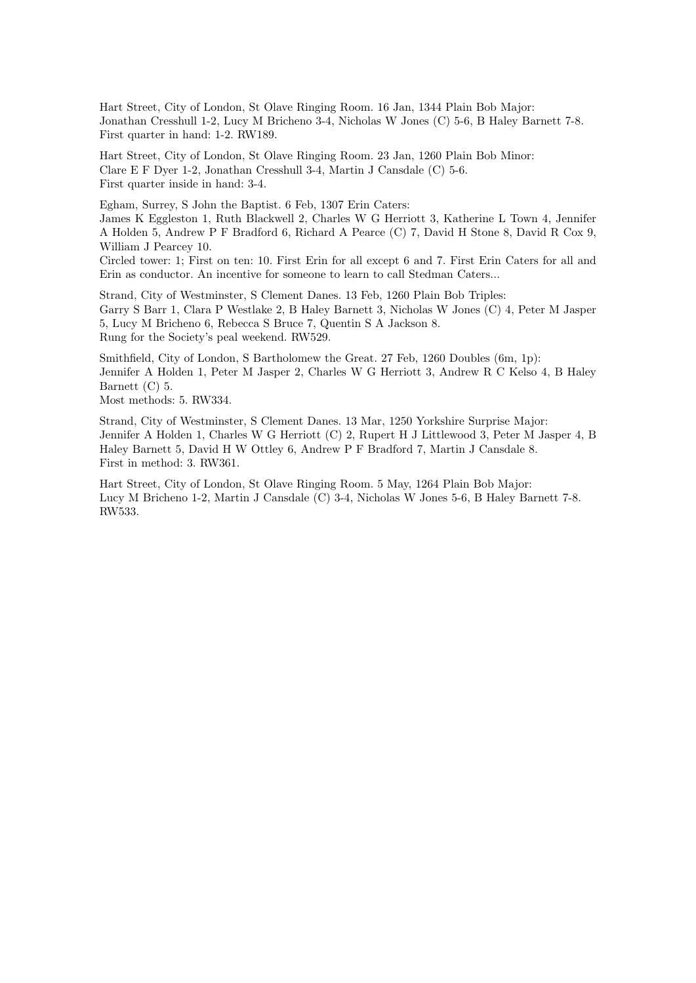Hart Street, City of London, St Olave Ringing Room. 16 Jan, 1344 Plain Bob Major: Jonathan Cresshull 1-2, Lucy M Bricheno 3-4, Nicholas W Jones (C) 5-6, B Haley Barnett 7-8. First quarter in hand: 1-2. RW189.

Hart Street, City of London, St Olave Ringing Room. 23 Jan, 1260 Plain Bob Minor: Clare E F Dyer 1-2, Jonathan Cresshull 3-4, Martin J Cansdale (C) 5-6. First quarter inside in hand: 3-4.

Egham, Surrey, S John the Baptist. 6 Feb, 1307 Erin Caters:

James K Eggleston 1, Ruth Blackwell 2, Charles W G Herriott 3, Katherine L Town 4, Jennifer A Holden 5, Andrew P F Bradford 6, Richard A Pearce (C) 7, David H Stone 8, David R Cox 9, William J Pearcey 10.

Circled tower: 1; First on ten: 10. First Erin for all except 6 and 7. First Erin Caters for all and Erin as conductor. An incentive for someone to learn to call Stedman Caters...

Strand, City of Westminster, S Clement Danes. 13 Feb, 1260 Plain Bob Triples: Garry S Barr 1, Clara P Westlake 2, B Haley Barnett 3, Nicholas W Jones (C) 4, Peter M Jasper 5, Lucy M Bricheno 6, Rebecca S Bruce 7, Quentin S A Jackson 8. Rung for the Society's peal weekend. RW529.

Smithfield, City of London, S Bartholomew the Great. 27 Feb, 1260 Doubles (6m, 1p): Jennifer A Holden 1, Peter M Jasper 2, Charles W G Herriott 3, Andrew R C Kelso 4, B Haley Barnett (C) 5.

Most methods: 5. RW334.

Strand, City of Westminster, S Clement Danes. 13 Mar, 1250 Yorkshire Surprise Major: Jennifer A Holden 1, Charles W G Herriott (C) 2, Rupert H J Littlewood 3, Peter M Jasper 4, B Haley Barnett 5, David H W Ottley 6, Andrew P F Bradford 7, Martin J Cansdale 8. First in method: 3. RW361.

Hart Street, City of London, St Olave Ringing Room. 5 May, 1264 Plain Bob Major: Lucy M Bricheno 1-2, Martin J Cansdale (C) 3-4, Nicholas W Jones 5-6, B Haley Barnett 7-8. RW533.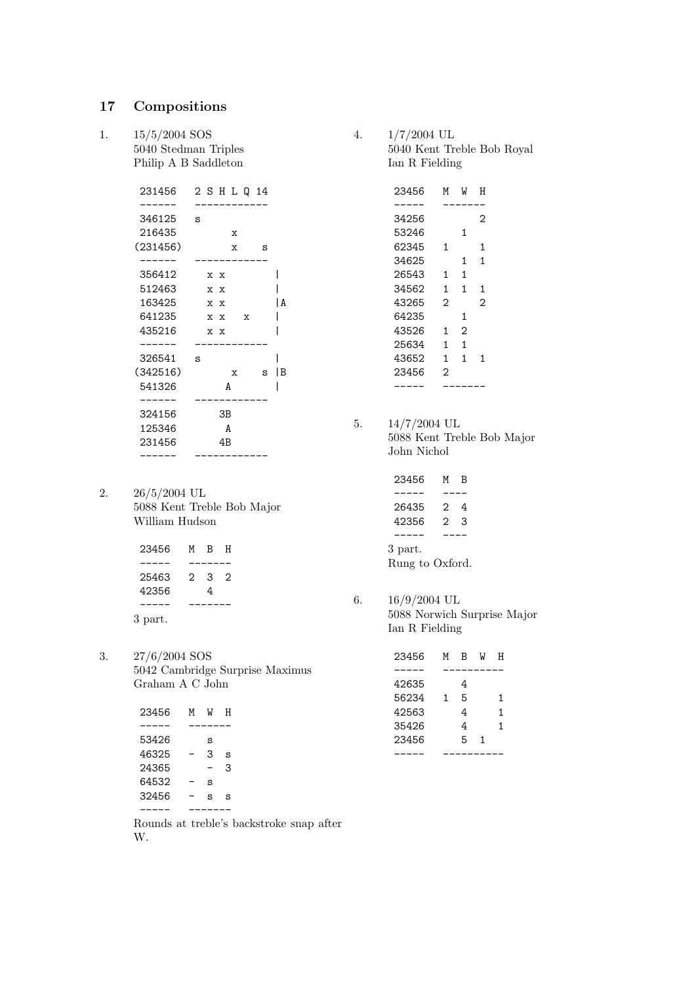# 17 Compositions

1. 15/5/2004 SOS 5040 Stedman Triples Philip A B Saddleton

| 231456   | 2 S H L Q 14             |   |
|----------|--------------------------|---|
|          |                          |   |
| 346125   | s                        |   |
| 216435   | x                        |   |
| (231456) | $\mathbf{x}$<br>ី        |   |
|          |                          |   |
| 356412   | x x                      |   |
| 512463   | x x                      |   |
| 163425   | x x                      | A |
| 641235   | x x<br>$\mathbf x$       |   |
| 435216   | x x                      |   |
|          |                          |   |
| 326541   | s                        |   |
| (342516) | $\mathbf{x}$<br><b>S</b> | В |
| 541326   | A                        |   |
|          |                          |   |
| 324156   | ЗB                       |   |
| 125346   | A                        |   |
| 231456   | 4B                       |   |
|          |                          |   |
|          |                          |   |

2. 26/5/2004 UL 5088 Kent Treble Bob Major William Hudson

| 23456   | м | B. | н |
|---------|---|----|---|
|         |   |    |   |
| 25463   | 2 | 3  | 2 |
| 42356   |   | 4  |   |
|         |   |    |   |
| 3 part. |   |    |   |

3. 27/6/2004 SOS 5042 Cambridge Surprise Maximus Graham A C John

| 23456 | м | IJ | н |
|-------|---|----|---|
|       |   |    |   |
| 53426 |   | s  |   |
| 46325 |   | 3  | s |
| 24365 |   |    | 3 |
| 64532 |   | s  |   |
| 32456 |   | s  | s |
|       |   |    |   |

Rounds at treble's backstroke snap after W.

4. 1/7/2004 UL 5040 Kent Treble Bob Royal Ian R Fielding

| 23456 | М                 | W              | н              |  |
|-------|-------------------|----------------|----------------|--|
|       |                   |                |                |  |
| 34256 |                   |                | 2              |  |
| 53246 |                   | 1              |                |  |
| 62345 | 1                 |                | 1              |  |
| 34625 |                   | $\mathbf{1}$   | 1              |  |
| 26543 | $\mathbf{1}$      | $\mathbf{1}$   |                |  |
| 34562 | $\mathbf{1}$      | $\mathbf{1}$   | 1              |  |
| 43265 | $\mathcal{D}_{1}$ |                | 2              |  |
| 64235 |                   | 1              |                |  |
| 43526 | 1                 | $\mathcal{D}$  |                |  |
| 25634 | 1.                | $\mathbf{1}$   |                |  |
| 43652 | $\mathbf{1}$      | $\overline{1}$ | $\overline{1}$ |  |
| 23456 | 2                 |                |                |  |
|       |                   |                |                |  |
|       |                   |                |                |  |

5. 14/7/2004 UL 5088 Kent Treble Bob Major John Nichol

| 23456           | м | В |  |  |  |  |
|-----------------|---|---|--|--|--|--|
|                 |   |   |  |  |  |  |
| 26435           | 2 | 4 |  |  |  |  |
| 42356           | っ | 3 |  |  |  |  |
|                 |   |   |  |  |  |  |
| 3 part.         |   |   |  |  |  |  |
| Rung to Oxford. |   |   |  |  |  |  |

6. 16/9/2004 UL 5088 Norwich Surprise Major Ian R Fielding

| 23456 | м | R | W | н |
|-------|---|---|---|---|
|       |   |   |   |   |
| 42635 |   | 4 |   |   |
| 56234 | 1 | 5 |   | 1 |
| 42563 |   | 4 |   | 1 |
| 35426 |   | 4 |   | 1 |
| 23456 |   | 5 | 1 |   |
|       |   |   |   |   |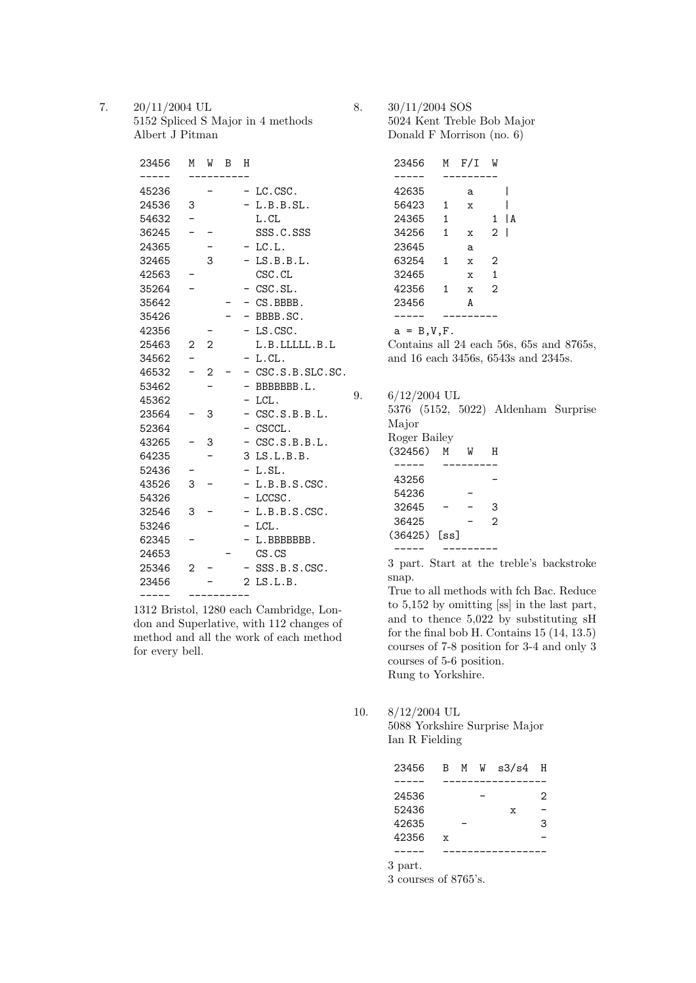7. 20/11/2004 UL 5152 Spliced S Major in 4 methods Albert J Pitman

| 23456 | М              | W              | В | Η              |                     |
|-------|----------------|----------------|---|----------------|---------------------|
|       |                |                |   |                |                     |
| 45236 |                |                |   |                | LC.CSC.             |
| 24536 | 3              |                |   |                | L.B.B.SL.           |
| 54632 |                |                |   |                | L.CL                |
| 36245 |                |                |   |                | SSS.C.SSS           |
| 24365 |                |                |   |                | LC.L.               |
| 32465 |                | 3              |   |                | LS.B.B.L.           |
| 42563 |                |                |   |                | CSC.CL              |
| 35264 |                |                |   |                | CSC.SL.             |
| 35642 |                |                |   |                | CS.BBBB.            |
| 35426 |                |                |   |                | BBBB.SC.            |
| 42356 |                |                |   | -              | LS.CSC.             |
| 25463 | 2              | $\overline{2}$ |   |                | L.B.LLLLL.B.L       |
| 34562 |                |                |   |                | L.CL.               |
| 46532 |                | 2              |   |                | $-$ CSC.S.B.SLC.SC. |
| 53462 |                |                |   |                | BBBBBBB.L.          |
| 45362 |                |                |   | -              | LCL.                |
| 23564 |                | 3              |   |                | CSC.S.B.B.L.        |
| 52364 |                |                |   |                | CSCCL.              |
| 43265 |                | 3              |   | $-$            | CSC.S.B.B.L.        |
| 64235 |                |                |   | 3              | LS.L.B.B.           |
| 52436 |                |                |   | -              | L.SL.               |
| 43526 | 3              |                |   | Ξ.             | L.B.B.S.CSC.        |
| 54326 |                |                |   |                | LCCSC.              |
| 32546 | 3              |                |   | -              | L.B.B.S.CSC.        |
| 53246 |                |                |   | Ξ.             | LCL.                |
| 62345 |                |                |   |                | L.BBBBBBB.          |
| 24653 |                |                |   |                | $CS$ . $CS$         |
| 25346 | $\overline{2}$ |                |   |                | SSS.B.S.CSC.        |
| 23456 |                |                |   | $\overline{2}$ | LS.L.B.             |
|       |                |                |   |                |                     |

1312 Bristol, 1280 each Cambridge, London and Superlative, with 112 changes of method and all the work of each method for every bell.

8. 30/11/2004 SOS 5024 Kent Treble Bob Major Donald F Morrison (no. 6)

| 23456 | M            | F/I          | W              |     |
|-------|--------------|--------------|----------------|-----|
|       |              |              |                |     |
| 42635 |              | a            |                |     |
| 56423 | 1            | X            |                |     |
| 24365 | $\mathbf{1}$ |              | 1              | l A |
| 34256 | $\mathbf{1}$ | X            | 2              |     |
| 23645 |              | a            |                |     |
| 63254 | 1            | $\mathbf{x}$ | 2              |     |
| 32465 |              | $\mathbf{x}$ | 1              |     |
| 42356 | 1            | $\mathbf x$  | $\mathfrak{D}$ |     |
| 23456 |              | A            |                |     |
|       |              |              |                |     |
|       |              |              |                |     |

 $a = B, V, F$ .

Contains all 24 each 56s, 65s and 8765s, and 16 each 3456s, 6543s and 2345s.

9. 6/12/2004 UL

5376 (5152, 5022) Aldenham Surprise Major

Roger Bailey

| (32456)      | м | W | н |
|--------------|---|---|---|
|              |   |   |   |
| 43256        |   |   |   |
| 54236        |   |   |   |
| 32645        |   |   | 3 |
| 36425        |   |   | っ |
| (36425) [ss] |   |   |   |
|              |   |   |   |

3 part. Start at the treble's backstroke snap.

True to all methods with fch Bac. Reduce to 5,152 by omitting [ss] in the last part, and to thence 5,022 by substituting sH for the final bob H. Contains 15 (14, 13.5) courses of 7-8 position for 3-4 and only 3 courses of 5-6 position. Rung to Yorkshire.

10. 8/12/2004 UL

5088 Yorkshire Surprise Major Ian R Fielding

| 23456 | $\mathbf{B}$ | M W | $s3/s4$ H |   |
|-------|--------------|-----|-----------|---|
|       |              |     |           |   |
| 24536 |              |     |           | 2 |
| 52436 |              |     | X         |   |
| 42635 |              |     |           | 3 |
| 42356 | $\mathbf x$  |     |           |   |
|       |              |     |           |   |
|       |              |     |           |   |

3 part.

3 courses of 8765's.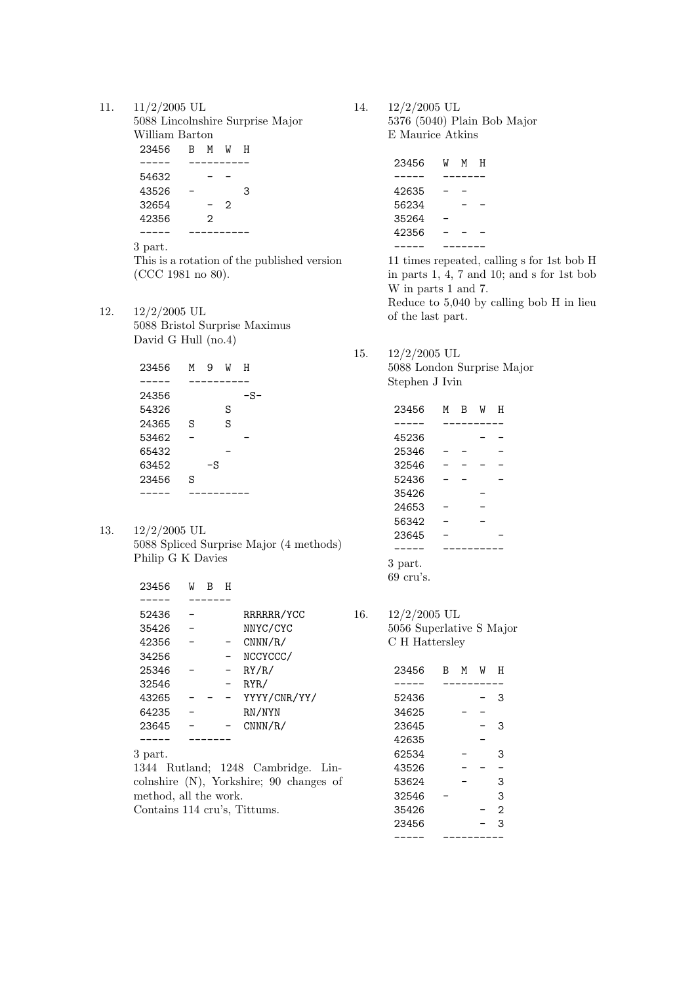11. 11/2/2005 UL

5088 Lincolnshire Surprise Major William Barton 23456 B M W H ----- ---------- 54632 - -  $43526 - 3$ <br> $32654 - 2$ 32654 42356 2 ----- ----------

3 part.

This is a rotation of the published version (CCC 1981 no 80).

12. 12/2/2005 UL 5088 Bristol Surprise Maximus David G Hull (no.4)

| 23456 | м | 9  | W | н   |  |
|-------|---|----|---|-----|--|
|       |   |    |   |     |  |
| 24356 |   |    |   | -S· |  |
| 54326 |   |    | S |     |  |
| 24365 | S |    | S |     |  |
| 53462 |   |    |   |     |  |
| 65432 |   |    |   |     |  |
| 63452 |   | -S |   |     |  |
| 23456 | S |    |   |     |  |
|       |   |    |   |     |  |

13. 12/2/2005 UL 5088 Spliced Surprise Major (4 methods) Philip G K Davies

| 23456 | W | н |              |
|-------|---|---|--------------|
|       |   |   |              |
| 52436 |   |   | RRRRRR/YCC   |
| 35426 |   |   | NNYC/CYC     |
| 42356 |   |   | CNNN/R/      |
| 34256 |   |   | NCCYCCC/     |
| 25346 |   |   | RY/R/        |
| 32546 |   |   | RYR/         |
| 43265 |   |   | YYYY/CNR/YY/ |
| 64235 |   |   | RN/NYN       |
| 23645 |   |   | CNNN/R/      |
|       |   |   |              |

3 part.

1344 Rutland; 1248 Cambridge. Lincolnshire (N), Yorkshire; 90 changes of method, all the work. Contains 114 cru's, Tittums.

14. 12/2/2005 UL 5376 (5040) Plain Bob Major E Maurice Atkins

| 23456 | W | м | н |
|-------|---|---|---|
|       |   |   |   |
| 42635 |   |   |   |
| 56234 |   |   |   |
| 35264 |   |   |   |
| 42356 |   |   |   |
|       |   |   |   |

11 times repeated, calling s for 1st bob H in parts 1, 4, 7 and 10; and s for 1st bob W in parts 1 and 7. Reduce to 5,040 by calling bob H in lieu of the last part.

15. 12/2/2005 UL

5088 London Surprise Major Stephen J Ivin

| 23456               | м | в | W | н |
|---------------------|---|---|---|---|
|                     |   |   |   |   |
| 45236               |   |   |   |   |
| 25346               |   |   |   |   |
| 32546               |   |   |   |   |
| 52436               |   |   |   |   |
| 35426               |   |   |   |   |
| 24653               |   |   |   |   |
| 56342               |   |   |   |   |
| 23645               |   |   |   |   |
|                     |   |   |   |   |
| 3 part.             |   |   |   |   |
| $69 \text{ cru's.}$ |   |   |   |   |

16. 12/2/2005 UL 5056 Superlative S Major C H Hattersley

| 23456 | В | м | W | н |
|-------|---|---|---|---|
|       |   |   |   |   |
| 52436 |   |   |   | 3 |
| 34625 |   |   |   |   |
| 23645 |   |   |   | 3 |
| 42635 |   |   |   |   |
| 62534 |   |   |   | 3 |
| 43526 |   |   |   |   |
| 53624 |   |   |   | 3 |
| 32546 |   |   |   | 3 |
| 35426 |   |   |   | 2 |
| 23456 |   |   |   | 3 |
|       |   |   |   |   |